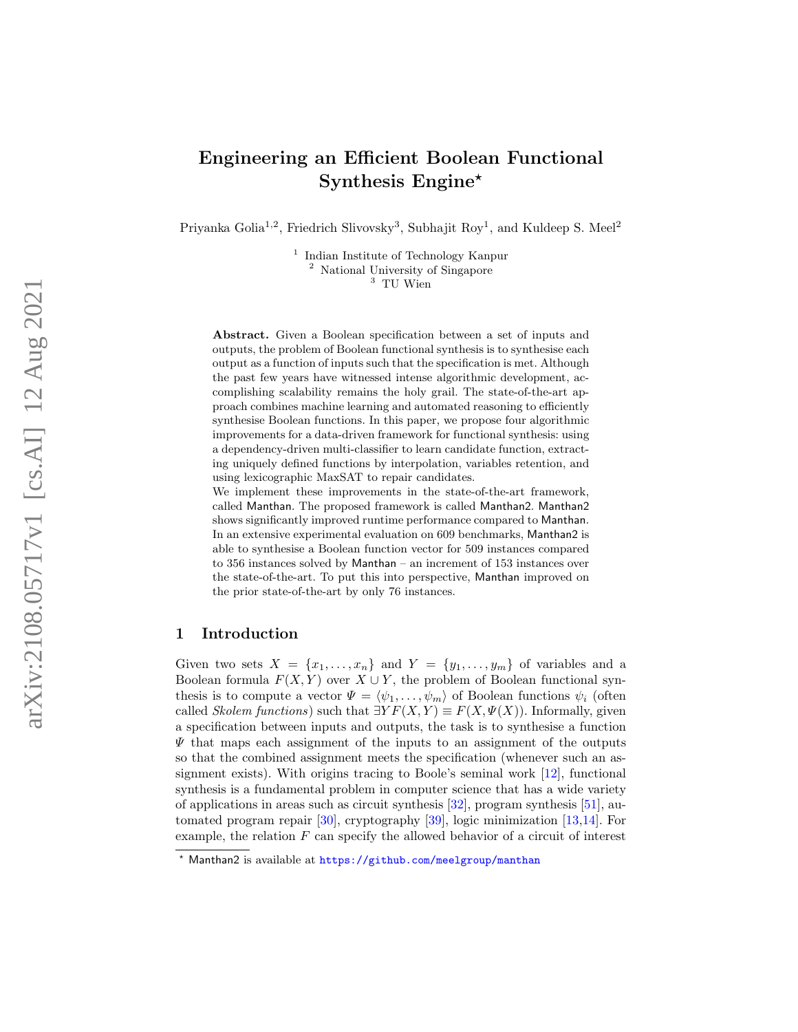# Engineering an Efficient Boolean Functional Synthesis Engine\*

Priyanka Golia<sup>1,2</sup>, Friedrich Slivovsky<sup>3</sup>, Subhajit Roy<sup>1</sup>, and Kuldeep S. Meel<sup>2</sup>

<sup>1</sup> Indian Institute of Technology Kanpur <sup>2</sup> National University of Singapore <sup>3</sup> TU Wien

Abstract. Given a Boolean specification between a set of inputs and outputs, the problem of Boolean functional synthesis is to synthesise each output as a function of inputs such that the specification is met. Although the past few years have witnessed intense algorithmic development, accomplishing scalability remains the holy grail. The state-of-the-art approach combines machine learning and automated reasoning to efficiently synthesise Boolean functions. In this paper, we propose four algorithmic improvements for a data-driven framework for functional synthesis: using a dependency-driven multi-classifier to learn candidate function, extracting uniquely defined functions by interpolation, variables retention, and using lexicographic MaxSAT to repair candidates.

We implement these improvements in the state-of-the-art framework, called Manthan. The proposed framework is called Manthan2 . Manthan2 shows significantly improved runtime performance compared to Manthan . In an extensive experimental evaluation on 609 benchmarks, Manthan2 is able to synthesise a Boolean function vector for 509 instances compared to 356 instances solved by Manthan – an increment of 153 instances over the state-of-the-art. To put this into perspective, Manthan improved on the prior state-of-the-art by only 76 instances.

# 1 Introduction

Given two sets  $X = \{x_1, \ldots, x_n\}$  and  $Y = \{y_1, \ldots, y_m\}$  of variables and a Boolean formula  $F(X, Y)$  over  $X \cup Y$ , the problem of Boolean functional synthesis is to compute a vector  $\Psi = \langle \psi_1, \ldots, \psi_m \rangle$  of Boolean functions  $\psi_i$  (often called Skolem functions) such that  $\exists Y F(X,Y) \equiv F(X,\Psi(X))$ . Informally, given a specification between inputs and outputs, the task is to synthesise a function  $\Psi$  that maps each assignment of the inputs to an assignment of the outputs so that the combined assignment meets the specification (whenever such an assignment exists). With origins tracing to Boole's seminal work [\[12\]](#page-20-0), functional synthesis is a fundamental problem in computer science that has a wide variety of applications in areas such as circuit synthesis [\[32\]](#page-21-0), program synthesis [\[51\]](#page-21-1), automated program repair [\[30\]](#page-21-2), cryptography [\[39\]](#page-21-3), logic minimization [\[13,](#page-20-1)[14\]](#page-20-2). For example, the relation  $F$  can specify the allowed behavior of a circuit of interest

<sup>?</sup> Manthan2 is available at <https://github.com/meelgroup/manthan>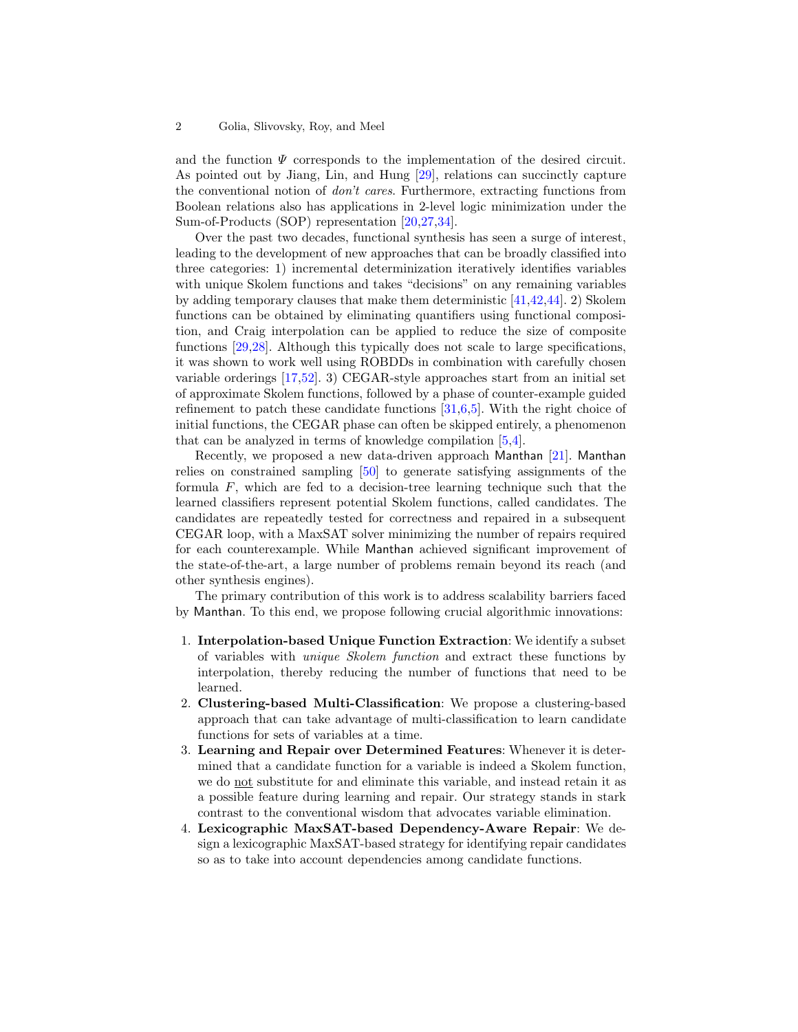and the function  $\Psi$  corresponds to the implementation of the desired circuit. As pointed out by Jiang, Lin, and Hung [\[29\]](#page-21-4), relations can succinctly capture the conventional notion of don't cares. Furthermore, extracting functions from Boolean relations also has applications in 2-level logic minimization under the Sum-of-Products (SOP) representation [\[20](#page-20-3)[,27,](#page-21-5)[34\]](#page-21-6).

Over the past two decades, functional synthesis has seen a surge of interest, leading to the development of new approaches that can be broadly classified into three categories: 1) incremental determinization iteratively identifies variables with unique Skolem functions and takes "decisions" on any remaining variables by adding temporary clauses that make them deterministic [\[41,](#page-21-7)[42,](#page-21-8)[44\]](#page-21-9). 2) Skolem functions can be obtained by eliminating quantifiers using functional composition, and Craig interpolation can be applied to reduce the size of composite functions [\[29,](#page-21-4)[28\]](#page-21-10). Although this typically does not scale to large specifications, it was shown to work well using ROBDDs in combination with carefully chosen variable orderings [\[17,](#page-20-4)[52\]](#page-21-11). 3) CEGAR-style approaches start from an initial set of approximate Skolem functions, followed by a phase of counter-example guided refinement to patch these candidate functions [\[31,](#page-21-12)[6,](#page-20-5)[5\]](#page-20-6). With the right choice of initial functions, the CEGAR phase can often be skipped entirely, a phenomenon that can be analyzed in terms of knowledge compilation [\[5,](#page-20-6)[4\]](#page-20-7).

Recently, we proposed a new data-driven approach Manthan [\[21\]](#page-20-8). Manthan relies on constrained sampling [\[50\]](#page-21-13) to generate satisfying assignments of the formula  $F$ , which are fed to a decision-tree learning technique such that the learned classifiers represent potential Skolem functions, called candidates. The candidates are repeatedly tested for correctness and repaired in a subsequent CEGAR loop, with a MaxSAT solver minimizing the number of repairs required for each counterexample. While Manthan achieved significant improvement of the state-of-the-art, a large number of problems remain beyond its reach (and other synthesis engines).

The primary contribution of this work is to address scalability barriers faced by Manthan. To this end, we propose following crucial algorithmic innovations:

- 1. Interpolation-based Unique Function Extraction: We identify a subset of variables with unique Skolem function and extract these functions by interpolation, thereby reducing the number of functions that need to be learned.
- 2. Clustering-based Multi-Classification: We propose a clustering-based approach that can take advantage of multi-classification to learn candidate functions for sets of variables at a time.
- 3. Learning and Repair over Determined Features: Whenever it is determined that a candidate function for a variable is indeed a Skolem function, we do not substitute for and eliminate this variable, and instead retain it as a possible feature during learning and repair. Our strategy stands in stark contrast to the conventional wisdom that advocates variable elimination.
- 4. Lexicographic MaxSAT-based Dependency-Aware Repair: We design a lexicographic MaxSAT-based strategy for identifying repair candidates so as to take into account dependencies among candidate functions.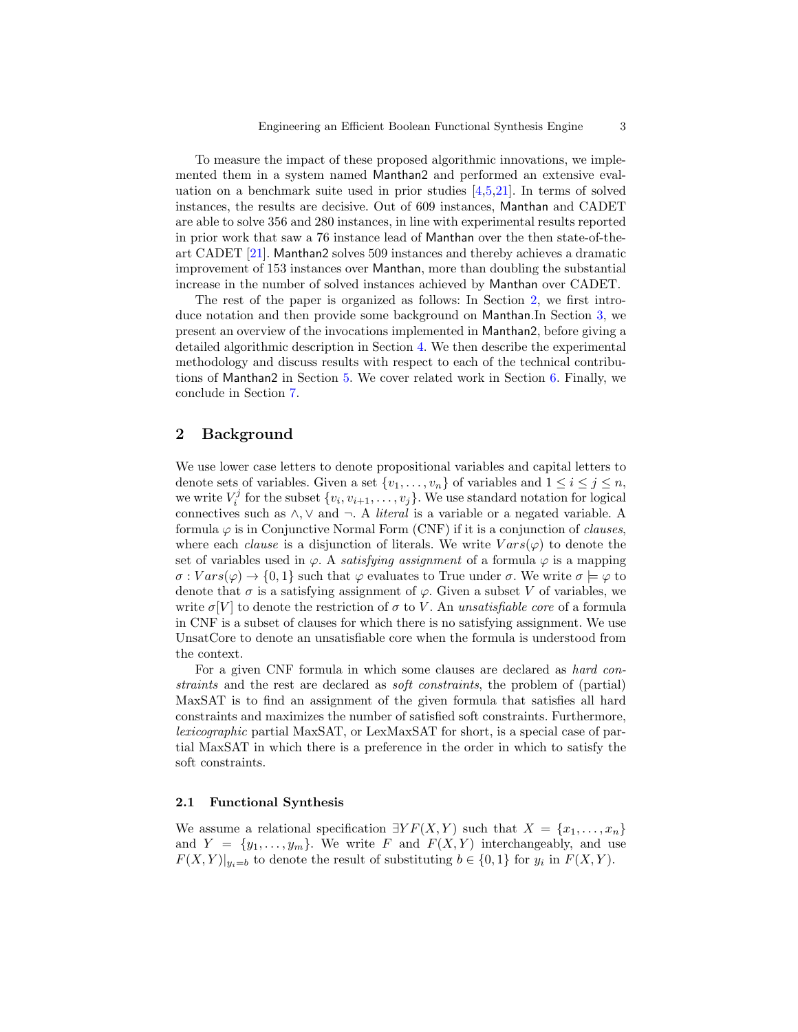To measure the impact of these proposed algorithmic innovations, we implemented them in a system named Manthan2 and performed an extensive evaluation on a benchmark suite used in prior studies [\[4,](#page-20-7)[5,](#page-20-6)[21\]](#page-20-8). In terms of solved instances, the results are decisive. Out of 609 instances, Manthan and CADET are able to solve 356 and 280 instances, in line with experimental results reported in prior work that saw a 76 instance lead of Manthan over the then state-of-theart CADET [\[21\]](#page-20-8). Manthan2 solves 509 instances and thereby achieves a dramatic improvement of 153 instances over Manthan, more than doubling the substantial increase in the number of solved instances achieved by Manthan over CADET.

The rest of the paper is organized as follows: In Section [2,](#page-2-0) we first introduce notation and then provide some background on Manthan.In Section [3,](#page-4-0) we present an overview of the invocations implemented in Manthan2, before giving a detailed algorithmic description in Section [4.](#page-8-0) We then describe the experimental methodology and discuss results with respect to each of the technical contributions of Manthan2 in Section [5.](#page-12-0) We cover related work in Section [6.](#page-18-0) Finally, we conclude in Section [7.](#page-19-0)

# <span id="page-2-0"></span>2 Background

We use lower case letters to denote propositional variables and capital letters to denote sets of variables. Given a set  $\{v_1, \ldots, v_n\}$  of variables and  $1 \leq i \leq j \leq n$ , we write  $V_i^j$  for the subset  $\{v_i, v_{i+1}, \ldots, v_j\}$ . We use standard notation for logical connectives such as  $\wedge$ ,  $\vee$  and  $\neg$ . A *literal* is a variable or a negated variable. A formula  $\varphi$  is in Conjunctive Normal Form (CNF) if it is a conjunction of *clauses*, where each *clause* is a disjunction of literals. We write  $Vars(\varphi)$  to denote the set of variables used in  $\varphi$ . A *satisfying assignment* of a formula  $\varphi$  is a mapping  $\sigma: Vars(\varphi) \to \{0,1\}$  such that  $\varphi$  evaluates to True under  $\sigma$ . We write  $\sigma \models \varphi$  to denote that  $\sigma$  is a satisfying assignment of  $\varphi$ . Given a subset V of variables, we write  $\sigma[V]$  to denote the restriction of  $\sigma$  to V. An unsatisfiable core of a formula in CNF is a subset of clauses for which there is no satisfying assignment. We use UnsatCore to denote an unsatisfiable core when the formula is understood from the context.

For a given CNF formula in which some clauses are declared as hard constraints and the rest are declared as soft constraints, the problem of (partial) MaxSAT is to find an assignment of the given formula that satisfies all hard constraints and maximizes the number of satisfied soft constraints. Furthermore, lexicographic partial MaxSAT, or LexMaxSAT for short, is a special case of partial MaxSAT in which there is a preference in the order in which to satisfy the soft constraints.

## 2.1 Functional Synthesis

We assume a relational specification  $\exists Y F(X,Y)$  such that  $X = \{x_1, \ldots, x_n\}$ and  $Y = \{y_1, \ldots, y_m\}$ . We write F and  $F(X, Y)$  interchangeably, and use  $F(X,Y)|_{y_i=b}$  to denote the result of substituting  $b \in \{0,1\}$  for  $y_i$  in  $F(X,Y)$ .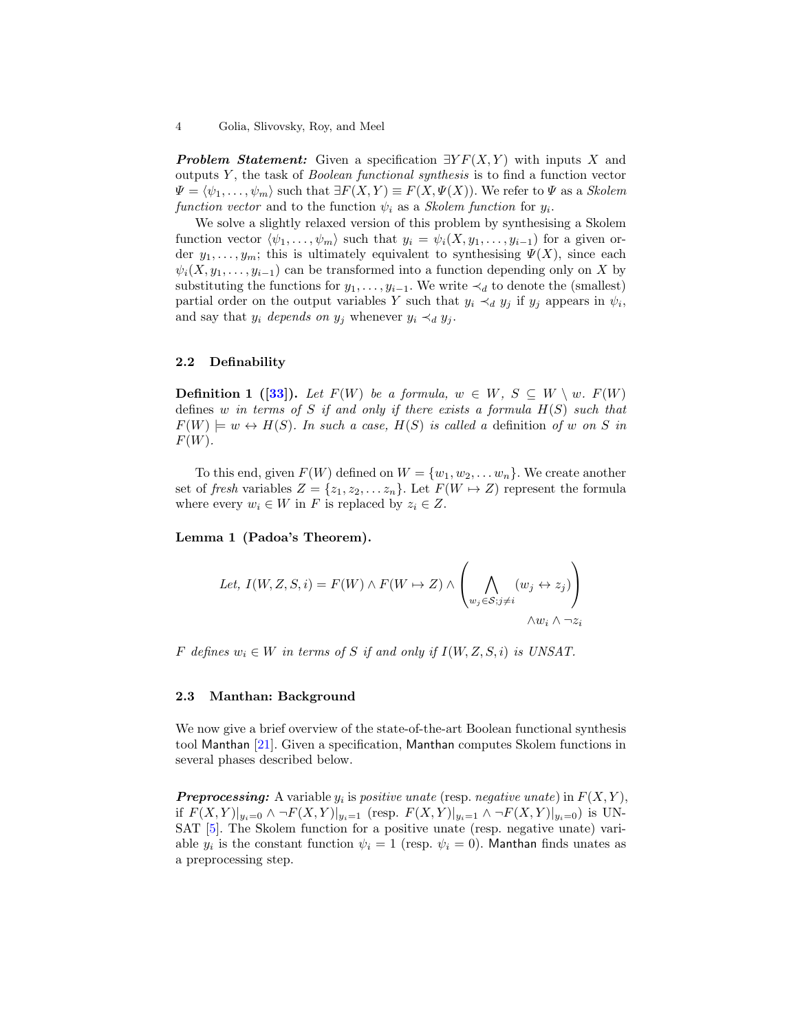**Problem Statement:** Given a specification  $\exists Y F(X, Y)$  with inputs X and outputs  $Y$ , the task of *Boolean functional synthesis* is to find a function vector  $\Psi = \langle \psi_1, \ldots, \psi_m \rangle$  such that  $\exists F(X, Y) \equiv F(X, \Psi(X))$ . We refer to  $\Psi$  as a Skolem function vector and to the function  $\psi_i$  as a *Skolem function* for  $y_i$ .

We solve a slightly relaxed version of this problem by synthesising a Skolem function vector  $\langle \psi_1, \ldots, \psi_m \rangle$  such that  $y_i = \psi_i(X, y_1, \ldots, y_{i-1})$  for a given order  $y_1, \ldots, y_m$ ; this is ultimately equivalent to synthesising  $\Psi(X)$ , since each  $\psi_i(X, y_1, \ldots, y_{i-1})$  can be transformed into a function depending only on X by substituting the functions for  $y_1, \ldots, y_{i-1}$ . We write  $\prec_d$  to denote the (smallest) partial order on the output variables Y such that  $y_i \prec_d y_j$  if  $y_j$  appears in  $\psi_i$ , and say that  $y_i$  depends on  $y_j$  whenever  $y_i \prec_d y_j$ .

# 2.2 Definability

**Definition 1** ([\[33\]](#page-21-14)). Let  $F(W)$  be a formula,  $w \in W$ ,  $S \subseteq W \setminus w$ .  $F(W)$ defines w in terms of S if and only if there exists a formula  $H(S)$  such that  $F(W) \models w \leftrightarrow H(S)$ . In such a case,  $H(S)$  is called a definition of w on S in  $F(W)$ .

To this end, given  $F(W)$  defined on  $W = \{w_1, w_2, \ldots w_n\}$ . We create another set of fresh variables  $Z = \{z_1, z_2, \ldots z_n\}$ . Let  $F(W \mapsto Z)$  represent the formula where every  $w_i \in W$  in F is replaced by  $z_i \in Z$ .

<span id="page-3-0"></span>Lemma 1 (Padoa's Theorem).

Let, 
$$
I(W, Z, S, i) = F(W) \wedge F(W \mapsto Z) \wedge \left( \bigwedge_{w_j \in S; j \neq i} (w_j \leftrightarrow z_j) \right)
$$
  
  $\wedge w_i \wedge \neg z_i$ 

F defines  $w_i \in W$  in terms of S if and only if  $I(W, Z, S, i)$  is UNSAT.

## 2.3 Manthan: Background

We now give a brief overview of the state-of-the-art Boolean functional synthesis tool Manthan [\[21\]](#page-20-8). Given a specification, Manthan computes Skolem functions in several phases described below.

**Preprocessing:** A variable  $y_i$  is positive unate (resp. negative unate) in  $F(X, Y)$ , if  $F(X, Y)|_{y_i=0} \wedge \neg F(X, Y)|_{y_i=1}$  (resp.  $F(X, Y)|_{y_i=1} \wedge \neg F(X, Y)|_{y_i=0}$ ) is UN-SAT [\[5\]](#page-20-6). The Skolem function for a positive unate (resp. negative unate) variable  $y_i$  is the constant function  $\psi_i = 1$  (resp.  $\psi_i = 0$ ). Manthan finds unates as a preprocessing step.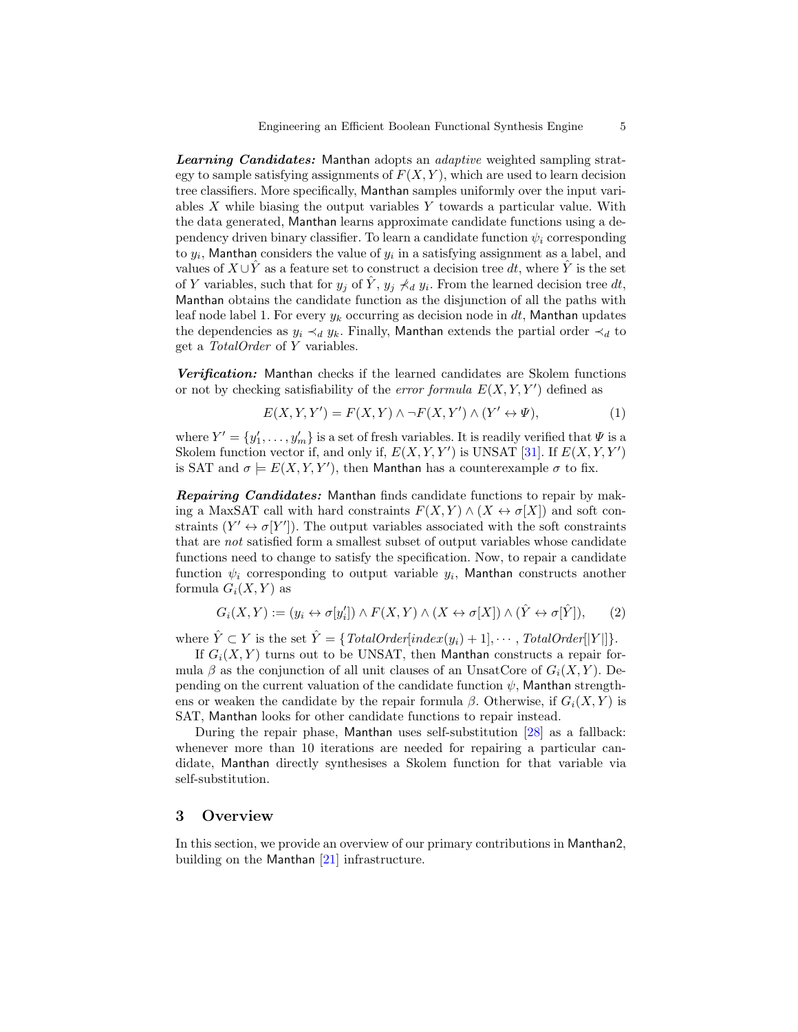Learning Candidates: Manthan adopts an *adaptive* weighted sampling strategy to sample satisfying assignments of  $F(X, Y)$ , which are used to learn decision tree classifiers. More specifically, Manthan samples uniformly over the input variables  $X$  while biasing the output variables  $Y$  towards a particular value. With the data generated, Manthan learns approximate candidate functions using a dependency driven binary classifier. To learn a candidate function  $\psi_i$  corresponding to  $y_i$ , Manthan considers the value of  $y_i$  in a satisfying assignment as a label, and values of  $X \cup \hat{Y}$  as a feature set to construct a decision tree dt, where  $\hat{Y}$  is the set of Y variables, such that for  $y_j$  of  $\hat{Y}$ ,  $y_j \nless d y_i$ . From the learned decision tree dt, Manthan obtains the candidate function as the disjunction of all the paths with leaf node label 1. For every  $y_k$  occurring as decision node in dt, Manthan updates the dependencies as  $y_i \prec_d y_k$ . Finally, Manthan extends the partial order  $\prec_d$  to get a TotalOrder of Y variables.

Verification: Manthan checks if the learned candidates are Skolem functions or not by checking satisfiability of the error formula  $E(X, Y, Y')$  defined as

<span id="page-4-1"></span>
$$
E(X, Y, Y') = F(X, Y) \land \neg F(X, Y') \land (Y' \leftrightarrow \Psi), \tag{1}
$$

where  $Y' = \{y'_1, \ldots, y'_m\}$  is a set of fresh variables. It is readily verified that  $\Psi$  is a Skolem function vector if, and only if,  $E(X, Y, Y')$  is UNSAT [\[31\]](#page-21-12). If  $E(X, Y, Y')$ is SAT and  $\sigma \models E(X, Y, Y')$ , then Manthan has a counterexample  $\sigma$  to fix.

Repairing Candidates: Manthan finds candidate functions to repair by making a MaxSAT call with hard constraints  $F(X, Y) \wedge (X \leftrightarrow \sigma[X])$  and soft constraints  $(Y' \leftrightarrow \sigma[Y'])$ . The output variables associated with the soft constraints that are not satisfied form a smallest subset of output variables whose candidate functions need to change to satisfy the specification. Now, to repair a candidate function  $\psi_i$  corresponding to output variable  $y_i$ , Manthan constructs another formula  $G_i(X, Y)$  as

<span id="page-4-2"></span>
$$
G_i(X,Y) := (y_i \leftrightarrow \sigma[y_i']) \land F(X,Y) \land (X \leftrightarrow \sigma[X]) \land (\hat{Y} \leftrightarrow \sigma[\hat{Y}]), \tag{2}
$$

where  $\hat{Y} \subset Y$  is the set  $\hat{Y} = \{TotalOrder[index(y_i) + 1], \cdots, TotalOrder[|Y|]\}.$ 

If  $G_i(X, Y)$  turns out to be UNSAT, then Manthan constructs a repair formula β as the conjunction of all unit clauses of an UnsatCore of  $G_i(X, Y)$ . Depending on the current valuation of the candidate function  $\psi$ , Manthan strengthens or weaken the candidate by the repair formula  $\beta$ . Otherwise, if  $G_i(X, Y)$  is SAT, Manthan looks for other candidate functions to repair instead.

During the repair phase, Manthan uses self-substitution [\[28\]](#page-21-10) as a fallback: whenever more than 10 iterations are needed for repairing a particular candidate, Manthan directly synthesises a Skolem function for that variable via self-substitution.

# <span id="page-4-0"></span>3 Overview

In this section, we provide an overview of our primary contributions in Manthan2, building on the Manthan [\[21\]](#page-20-8) infrastructure.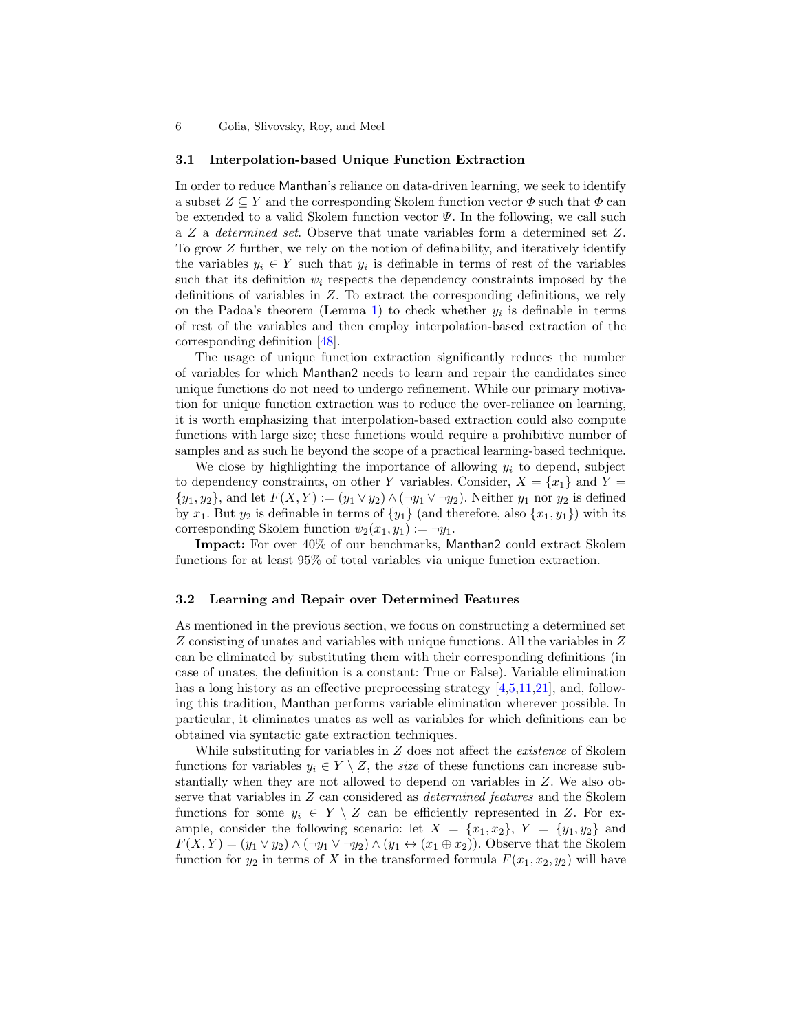6 Golia, Slivovsky, Roy, and Meel

### 3.1 Interpolation-based Unique Function Extraction

In order to reduce Manthan's reliance on data-driven learning, we seek to identify a subset  $Z \subseteq Y$  and the corresponding Skolem function vector  $\Phi$  such that  $\Phi$  can be extended to a valid Skolem function vector  $\Psi$ . In the following, we call such a Z a determined set. Observe that unate variables form a determined set Z. To grow Z further, we rely on the notion of definability, and iteratively identify the variables  $y_i \in Y$  such that  $y_i$  is definable in terms of rest of the variables such that its definition  $\psi_i$  respects the dependency constraints imposed by the definitions of variables in Z. To extract the corresponding definitions, we rely on the Padoa's theorem (Lemma [1\)](#page-3-0) to check whether  $y_i$  is definable in terms of rest of the variables and then employ interpolation-based extraction of the corresponding definition [\[48\]](#page-21-15).

The usage of unique function extraction significantly reduces the number of variables for which Manthan2 needs to learn and repair the candidates since unique functions do not need to undergo refinement. While our primary motivation for unique function extraction was to reduce the over-reliance on learning, it is worth emphasizing that interpolation-based extraction could also compute functions with large size; these functions would require a prohibitive number of samples and as such lie beyond the scope of a practical learning-based technique.

We close by highlighting the importance of allowing  $y_i$  to depend, subject to dependency constraints, on other Y variables. Consider,  $X = \{x_1\}$  and  $Y =$  $\{y_1, y_2\}$ , and let  $F(X, Y) := (y_1 \vee y_2) \wedge (\neg y_1 \vee \neg y_2)$ . Neither  $y_1$  nor  $y_2$  is defined by  $x_1$ . But  $y_2$  is definable in terms of  $\{y_1\}$  (and therefore, also  $\{x_1, y_1\}$ ) with its corresponding Skolem function  $\psi_2(x_1, y_1) := \neg y_1$ .

Impact: For over 40% of our benchmarks, Manthan2 could extract Skolem functions for at least 95% of total variables via unique function extraction.

## 3.2 Learning and Repair over Determined Features

As mentioned in the previous section, we focus on constructing a determined set Z consisting of unates and variables with unique functions. All the variables in Z can be eliminated by substituting them with their corresponding definitions (in case of unates, the definition is a constant: True or False). Variable elimination has a long history as an effective preprocessing strategy [\[4,](#page-20-7)[5,](#page-20-6)[11,](#page-20-9)[21\]](#page-20-8), and, following this tradition, Manthan performs variable elimination wherever possible. In particular, it eliminates unates as well as variables for which definitions can be obtained via syntactic gate extraction techniques.

While substituting for variables in  $Z$  does not affect the *existence* of Skolem functions for variables  $y_i \in Y \setminus Z$ , the size of these functions can increase substantially when they are not allowed to depend on variables in Z. We also observe that variables in Z can considered as determined features and the Skolem functions for some  $y_i \in Y \setminus Z$  can be efficiently represented in Z. For example, consider the following scenario: let  $X = \{x_1, x_2\}$ ,  $Y = \{y_1, y_2\}$  and  $F(X, Y) = (y_1 \vee y_2) \wedge (\neg y_1 \vee \neg y_2) \wedge (y_1 \leftrightarrow (x_1 \oplus x_2))$ . Observe that the Skolem function for  $y_2$  in terms of X in the transformed formula  $F(x_1, x_2, y_2)$  will have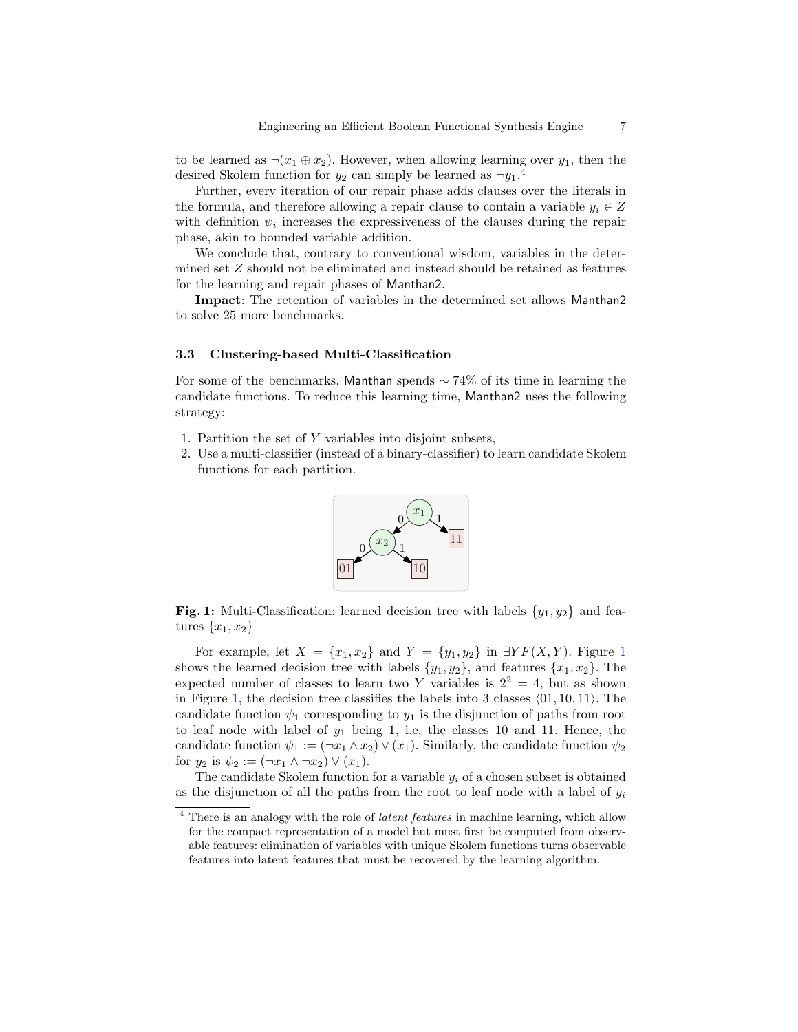to be learned as  $\neg(x_1 \oplus x_2)$ . However, when allowing learning over  $y_1$ , then the desired Skolem function for  $y_2$  can simply be learned as  $\neg y_1$ .<sup>[4](#page-6-0)</sup>

Further, every iteration of our repair phase adds clauses over the literals in the formula, and therefore allowing a repair clause to contain a variable  $y_i \in Z$ with definition  $\psi_i$  increases the expressiveness of the clauses during the repair phase, akin to bounded variable addition.

We conclude that, contrary to conventional wisdom, variables in the determined set Z should not be eliminated and instead should be retained as features for the learning and repair phases of Manthan2.

Impact: The retention of variables in the determined set allows Manthan2 to solve 25 more benchmarks.

### 3.3 Clustering-based Multi-Classification

For some of the benchmarks, Manthan spends  $\sim$  74% of its time in learning the candidate functions. To reduce this learning time, Manthan2 uses the following strategy:

- 1. Partition the set of Y variables into disjoint subsets,
- <span id="page-6-1"></span>2. Use a multi-classifier (instead of a binary-classifier) to learn candidate Skolem functions for each partition.



Fig. 1: Multi-Classification: learned decision tree with labels  $\{y_1, y_2\}$  and features  $\{x_1, x_2\}$ 

For example, let  $X = \{x_1, x_2\}$  $X = \{x_1, x_2\}$  $X = \{x_1, x_2\}$  and  $Y = \{y_1, y_2\}$  in  $\exists Y F(X, Y)$ . Figure 1 shows the learned decision tree with labels  $\{y_1, y_2\}$ , and features  $\{x_1, x_2\}$ . The expected number of classes to learn two Y variables is  $2^2 = 4$ , but as shown in Figure [1,](#page-6-1) the decision tree classifies the labels into 3 classes  $(01, 10, 11)$ . The candidate function  $\psi_1$  corresponding to  $y_1$  is the disjunction of paths from root to leaf node with label of  $y_1$  being 1, i.e, the classes 10 and 11. Hence, the candidate function  $\psi_1 := (\neg x_1 \land x_2) \lor (x_1)$ . Similarly, the candidate function  $\psi_2$ for  $y_2$  is  $\psi_2 := (\neg x_1 \land \neg x_2) \lor (x_1)$ .

The candidate Skolem function for a variable  $y_i$  of a chosen subset is obtained as the disjunction of all the paths from the root to leaf node with a label of  $y_i$ 

<span id="page-6-0"></span><sup>&</sup>lt;sup>4</sup> There is an analogy with the role of *latent features* in machine learning, which allow for the compact representation of a model but must first be computed from observable features: elimination of variables with unique Skolem functions turns observable features into latent features that must be recovered by the learning algorithm.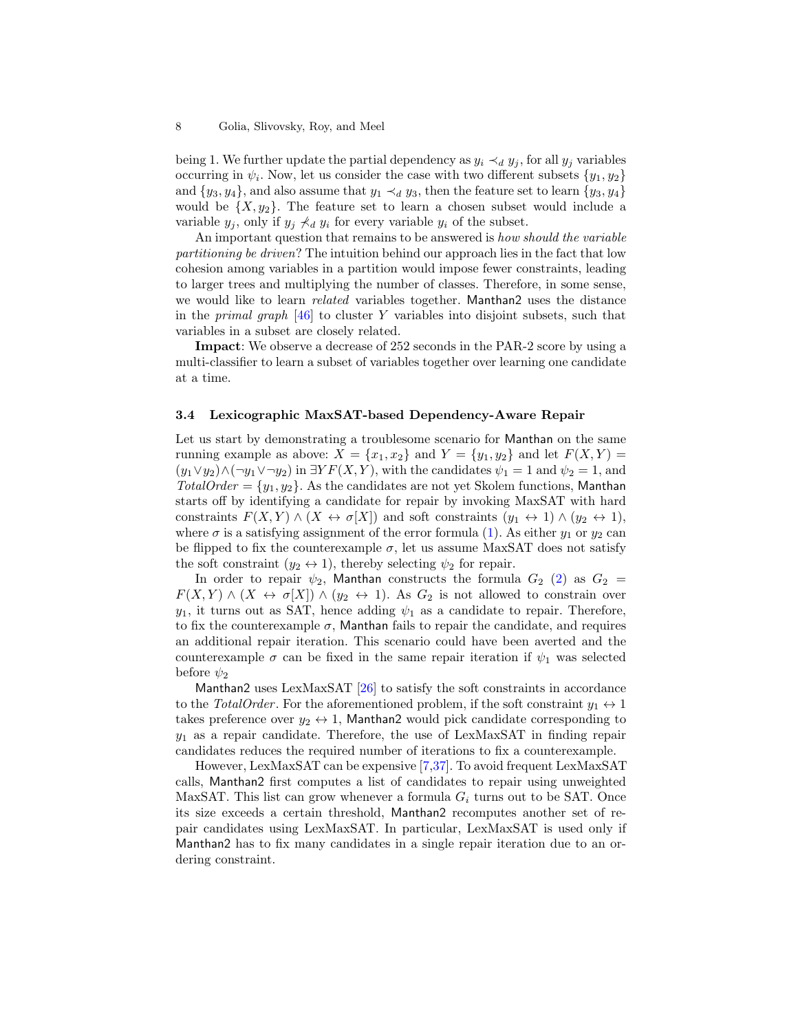being 1. We further update the partial dependency as  $y_i \prec_d y_j$ , for all  $y_j$  variables occurring in  $\psi_i$ . Now, let us consider the case with two different subsets  $\{y_1, y_2\}$ and  $\{y_3, y_4\}$ , and also assume that  $y_1 \prec_d y_3$ , then the feature set to learn  $\{y_3, y_4\}$ would be  $\{X, y_2\}$ . The feature set to learn a chosen subset would include a variable  $y_i$ , only if  $y_i \nless d y_i$  for every variable  $y_i$  of the subset.

An important question that remains to be answered is how should the variable partitioning be driven? The intuition behind our approach lies in the fact that low cohesion among variables in a partition would impose fewer constraints, leading to larger trees and multiplying the number of classes. Therefore, in some sense, we would like to learn related variables together. Manthan2 uses the distance in the *primal graph*  $[46]$  to cluster Y variables into disjoint subsets, such that variables in a subset are closely related.

Impact: We observe a decrease of 252 seconds in the PAR-2 score by using a multi-classifier to learn a subset of variables together over learning one candidate at a time.

## 3.4 Lexicographic MaxSAT-based Dependency-Aware Repair

Let us start by demonstrating a troublesome scenario for Manthan on the same running example as above:  $X = \{x_1, x_2\}$  and  $Y = \{y_1, y_2\}$  and let  $F(X, Y) =$  $(y_1 \vee y_2) \wedge (\neg y_1 \vee \neg y_2)$  in  $\exists Y F(X, Y)$ , with the candidates  $\psi_1 = 1$  and  $\psi_2 = 1$ , and  $TotalOrder = \{y_1, y_2\}$ . As the candidates are not yet Skolem functions, Manthan starts off by identifying a candidate for repair by invoking MaxSAT with hard constraints  $F(X, Y) \wedge (X \leftrightarrow \sigma[X])$  and soft constraints  $(y_1 \leftrightarrow 1) \wedge (y_2 \leftrightarrow 1)$ , where  $\sigma$  is a satisfying assignment of the error formula [\(1\)](#page-4-1). As either  $y_1$  or  $y_2$  can be flipped to fix the counterexample  $\sigma$ , let us assume MaxSAT does not satisfy the soft constraint  $(y_2 \leftrightarrow 1)$ , thereby selecting  $\psi_2$  for repair.

In order to repair  $\psi_2$ , Manthan constructs the formula  $G_2$  [\(2\)](#page-4-2) as  $G_2$  =  $F(X, Y) \wedge (X \leftrightarrow \sigma[X]) \wedge (y_2 \leftrightarrow 1)$ . As  $G_2$  is not allowed to constrain over  $y_1$ , it turns out as SAT, hence adding  $\psi_1$  as a candidate to repair. Therefore, to fix the counterexample  $\sigma$ , Manthan fails to repair the candidate, and requires an additional repair iteration. This scenario could have been averted and the counterexample  $\sigma$  can be fixed in the same repair iteration if  $\psi_1$  was selected before  $\psi_2$ 

Manthan2 uses LexMaxSAT  $[26]$  to satisfy the soft constraints in accordance to the TotalOrder. For the aforementioned problem, if the soft constraint  $y_1 \leftrightarrow 1$ takes preference over  $y_2 \leftrightarrow 1$ , Manthan2 would pick candidate corresponding to  $y_1$  as a repair candidate. Therefore, the use of LexMaxSAT in finding repair candidates reduces the required number of iterations to fix a counterexample.

However, LexMaxSAT can be expensive [\[7,](#page-20-10)[37\]](#page-21-18). To avoid frequent LexMaxSAT calls, Manthan2 first computes a list of candidates to repair using unweighted MaxSAT. This list can grow whenever a formula  $G_i$  turns out to be SAT. Once its size exceeds a certain threshold, Manthan2 recomputes another set of repair candidates using LexMaxSAT. In particular, LexMaxSAT is used only if Manthan2 has to fix many candidates in a single repair iteration due to an ordering constraint.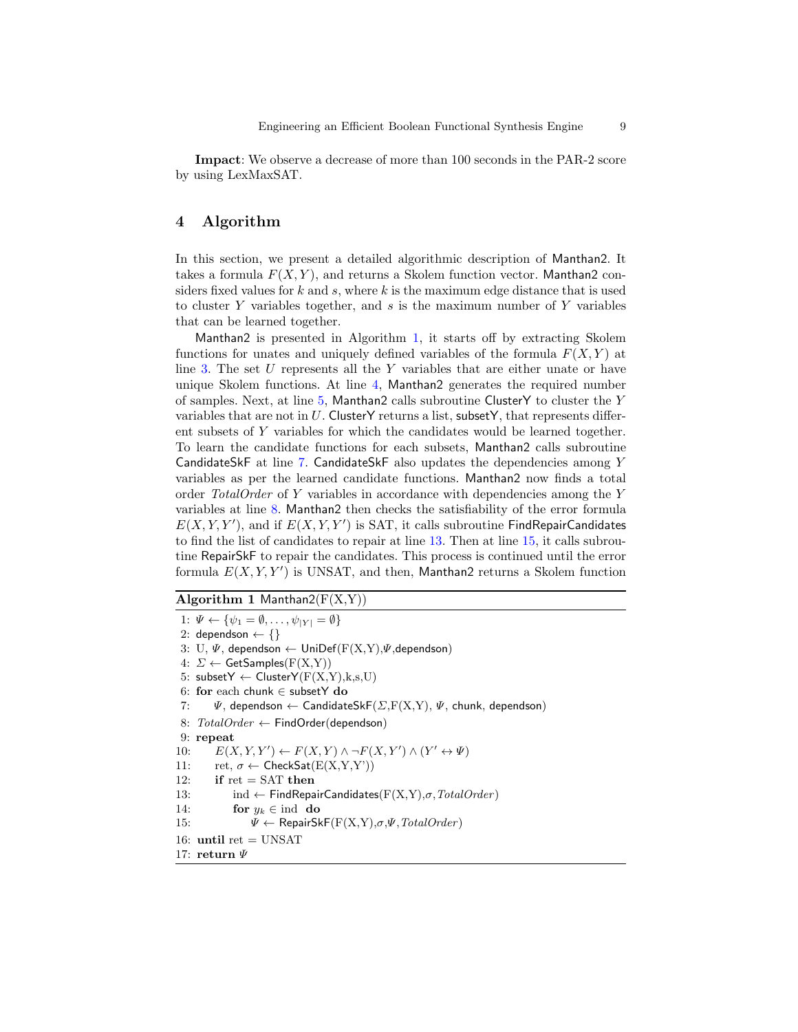Impact: We observe a decrease of more than 100 seconds in the PAR-2 score by using LexMaxSAT.

# <span id="page-8-0"></span>4 Algorithm

In this section, we present a detailed algorithmic description of Manthan2. It takes a formula  $F(X, Y)$ , and returns a Skolem function vector. Manthan2 considers fixed values for  $k$  and  $s$ , where  $k$  is the maximum edge distance that is used to cluster Y variables together, and s is the maximum number of Y variables that can be learned together.

Manthan2 is presented in Algorithm [1,](#page-8-1) it starts off by extracting Skolem functions for unates and uniquely defined variables of the formula  $F(X, Y)$  at line [3.](#page-8-1) The set U represents all the Y variables that are either unate or have unique Skolem functions. At line [4,](#page-8-1) Manthan2 generates the required number of samples. Next, at line  $5$ , Manthan2 calls subroutine ClusterY to cluster the Y variables that are not in  $U$ . ClusterY returns a list, subsetY, that represents different subsets of Y variables for which the candidates would be learned together. To learn the candidate functions for each subsets, Manthan2 calls subroutine CandidateSkF at line [7.](#page-8-1) CandidateSkF also updates the dependencies among Y variables as per the learned candidate functions. Manthan2 now finds a total order TotalOrder of Y variables in accordance with dependencies among the Y variables at line [8.](#page-8-1) Manthan2 then checks the satisfiability of the error formula  $E(X, Y, Y')$ , and if  $E(X, Y, Y')$  is SAT, it calls subroutine FindRepairCandidates to find the list of candidates to repair at line [13.](#page-8-1) Then at line [15,](#page-8-1) it calls subroutine RepairSkF to repair the candidates. This process is continued until the error formula  $E(X, Y, Y')$  is UNSAT, and then, Manthan2 returns a Skolem function

## <span id="page-8-1"></span>Algorithm 1 Manthan2( $F(X,Y)$ )

1:  $\Psi \leftarrow {\psi_1 = \emptyset, \ldots, \psi_{|Y|} = \emptyset}$ 2: dependson  $\leftarrow \{\}$ 3: U,  $\Psi$ , dependson  $\leftarrow$  UniDef( $F(X,Y)$ , $\Psi$ , dependson) 4:  $\Sigma \leftarrow$  GetSamples(F(X,Y)) 5: subset $Y \leftarrow$  Cluster $Y(F(X,Y),k,s,U)$ 6: for each chunk ∈ subsetY do 7:  $\Psi$ , dependson  $\leftarrow$  CandidateSkF( $\Sigma$ ,F(X,Y),  $\Psi$ , chunk, dependson) 8:  $TotalOrder \leftarrow FindOrder(dependson)$ 9: repeat 10:  $E(X, Y, Y') \leftarrow F(X, Y) \land \neg F(X, Y') \land (Y' \leftrightarrow \Psi)$ 11:  $ret, \sigma \leftarrow \text{CheckSat}(E(X, Y, Y'))$ 12: if  $ret = SAT$  then 13: ind ← FindRepairCandidates( $F(X,Y)$ , $\sigma$ ,  $TotalOrder$ ) 14: for  $y_k \in \text{ind }$  do 15:  $\Psi \leftarrow \text{RepairSkF}(F(X,Y), \sigma, \Psi, \text{TotalOrder})$ 16: until ret  $=$  UNSAT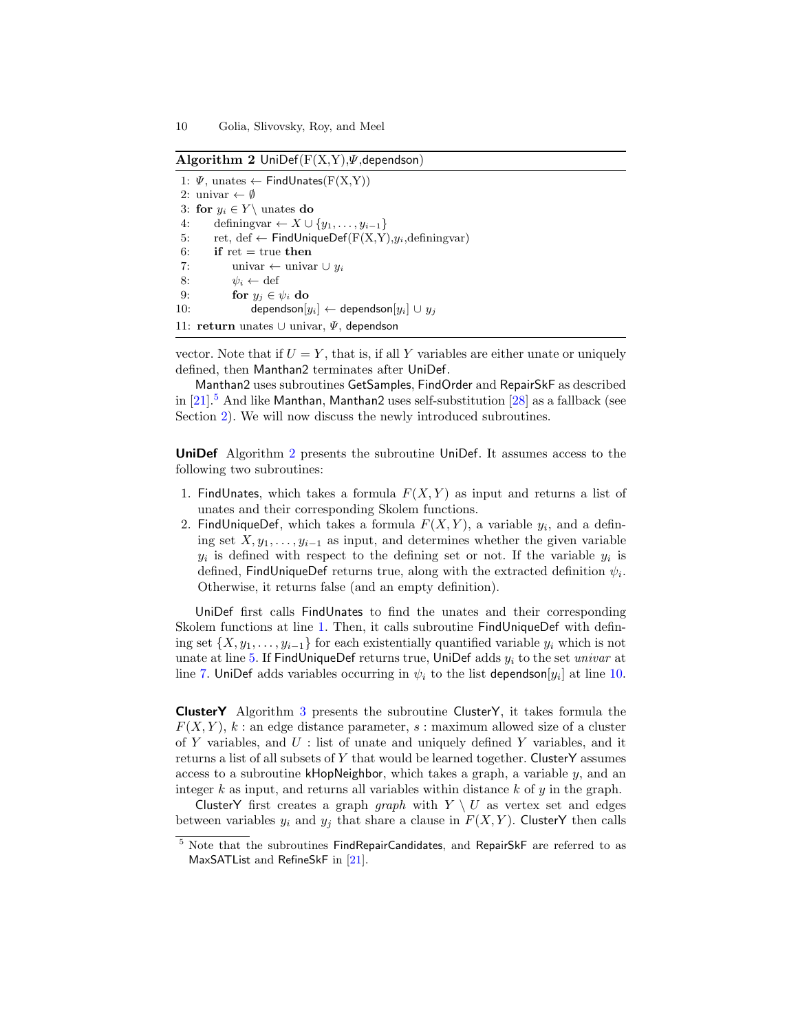<span id="page-9-1"></span>Algorithm 2 UniDef( $F(X,Y)$ , $\psi$ , dependson)

1:  $\Psi$ , unates  $\leftarrow$  FindUnates(F(X,Y)) 2: univar  $\leftarrow \emptyset$ 3: for  $y_i \in Y \setminus \text{unates do}$ 4: definingvar  $\leftarrow X \cup \{y_1, \ldots, y_{i-1}\}\$ 5: ret, def  $\leftarrow$  FindUniqueDef(F(X,Y), $y_i$ , definingvar) 6: if  $ret = true$  then 7: univar ← univar  $\cup y_i$ 8:  $\psi_i \leftarrow \text{def}$ 9: for  $y_j \in \psi_i$  do 10: dependson $[y_i] \leftarrow$  dependson $[y_i] \cup y_j$ 11: return unates ∪ univar,  $\Psi$ , dependson

vector. Note that if  $U = Y$ , that is, if all Y variables are either unate or uniquely defined, then Manthan2 terminates after UniDef.

Manthan2 uses subroutines GetSamples, FindOrder and RepairSkF as described in  $[21]$ .<sup>[5](#page-9-0)</sup> And like Manthan, Manthan2 uses self-substitution  $[28]$  as a fallback (see Section [2\)](#page-2-0). We will now discuss the newly introduced subroutines.

UniDef Algorithm [2](#page-9-1) presents the subroutine UniDef. It assumes access to the following two subroutines:

- 1. FindUnates, which takes a formula  $F(X, Y)$  as input and returns a list of unates and their corresponding Skolem functions.
- 2. FindUniqueDef, which takes a formula  $F(X,Y)$ , a variable  $y_i$ , and a defining set  $X, y_1, \ldots, y_{i-1}$  as input, and determines whether the given variable  $y_i$  is defined with respect to the defining set or not. If the variable  $y_i$  is defined, FindUniqueDef returns true, along with the extracted definition  $\psi_i.$ Otherwise, it returns false (and an empty definition).

UniDef first calls FindUnates to find the unates and their corresponding Skolem functions at line [1.](#page-9-1) Then, it calls subroutine FindUniqueDef with defining set  $\{X, y_1, \ldots, y_{i-1}\}$  for each existentially quantified variable  $y_i$  which is not unate at line [5.](#page-9-1) If FindUniqueDef returns true, UniDef adds  $y_i$  to the set univar at line [7.](#page-9-1) UniDef adds variables occurring in  $\psi_i$  to the list dependson $[y_i]$  at line [10.](#page-9-1)

ClusterY Algorithm [3](#page-10-0) presents the subroutine ClusterY, it takes formula the  $F(X, Y)$ , k : an edge distance parameter, s : maximum allowed size of a cluster of Y variables, and  $U$ : list of unate and uniquely defined Y variables, and it returns a list of all subsets of Y that would be learned together. ClusterY assumes access to a subroutine  $k$ HopNeighbor, which takes a graph, a variable  $y$ , and an integer  $k$  as input, and returns all variables within distance  $k$  of  $y$  in the graph.

ClusterY first creates a graph graph with  $Y \setminus U$  as vertex set and edges between variables  $y_i$  and  $y_j$  that share a clause in  $F(X, Y)$ . ClusterY then calls

<span id="page-9-0"></span><sup>&</sup>lt;sup>5</sup> Note that the subroutines FindRepairCandidates, and RepairSkF are referred to as MaxSATList and RefineSkF in [\[21\]](#page-20-8).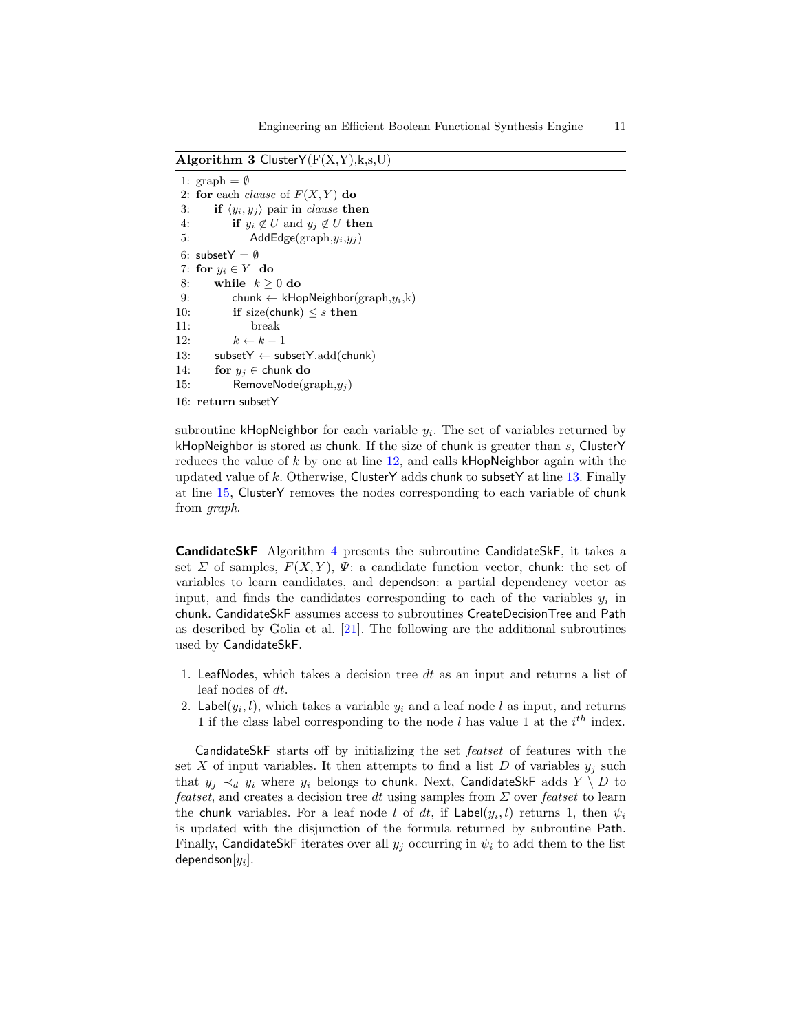<span id="page-10-0"></span>Algorithm 3 Cluster $Y(F(X,Y),k,s,U)$ 

```
1: graph = \emptyset2: for each clause of F(X, Y) do
3: if \langle y_i, y_j \rangle pair in clause then
4: if y_i \notin U and y_j \notin U then
5: \mathsf{AddEdge}(\text{graph}, y_i, y_j)6: subsetY = \emptyset7: for y_i \in Y do
8: while k \geq 0 do
9: chunk ← kHopNeighbor(graph,y_i,k)
10: if size(chunk) \leq s then
11: break
12: k \leftarrow k - 113: subsetY ← subsetY.add(chunk)
14: for y_j \in chunk do
15: RemoveNode(graph,y_i)
16: return subsetY
```
subroutine  $k$ HopNeighbor for each variable  $y_i$ . The set of variables returned by kHopNeighbor is stored as chunk. If the size of chunk is greater than  $s$ , ClusterY reduces the value of  $k$  by one at line [12,](#page-10-0) and calls kHopNeighbor again with the updated value of k. Otherwise, ClusterY adds chunk to subsetY at line [13.](#page-10-0) Finally at line [15,](#page-10-0) ClusterY removes the nodes corresponding to each variable of chunk from graph.

CandidateSkF Algorithm [4](#page-11-0) presents the subroutine CandidateSkF, it takes a set  $\Sigma$  of samples,  $F(X, Y)$ ,  $\Psi$ : a candidate function vector, chunk: the set of variables to learn candidates, and dependson: a partial dependency vector as input, and finds the candidates corresponding to each of the variables  $y_i$  in chunk. CandidateSkF assumes access to subroutines CreateDecisionTree and Path as described by Golia et al. [\[21\]](#page-20-8). The following are the additional subroutines used by CandidateSkF.

- 1. LeafNodes, which takes a decision tree  $dt$  as an input and returns a list of leaf nodes of dt.
- 2. Label $(y_i, l)$ , which takes a variable  $y_i$  and a leaf node l as input, and returns 1 if the class label corresponding to the node l has value 1 at the  $i^{th}$  index.

CandidateSkF starts off by initializing the set featset of features with the set X of input variables. It then attempts to find a list D of variables  $y_i$  such that  $y_i \prec_d y_i$  where  $y_i$  belongs to chunk. Next, CandidateSkF adds  $Y \setminus D$  to *featset*, and creates a decision tree dt using samples from  $\Sigma$  over *featset* to learn the chunk variables. For a leaf node l of dt, if  $\mathsf{Label}(y_i, l)$  returns 1, then  $\psi_i$ is updated with the disjunction of the formula returned by subroutine Path. Finally, CandidateSkF iterates over all  $y_j$  occurring in  $\psi_i$  to add them to the list dependson $[y_i].$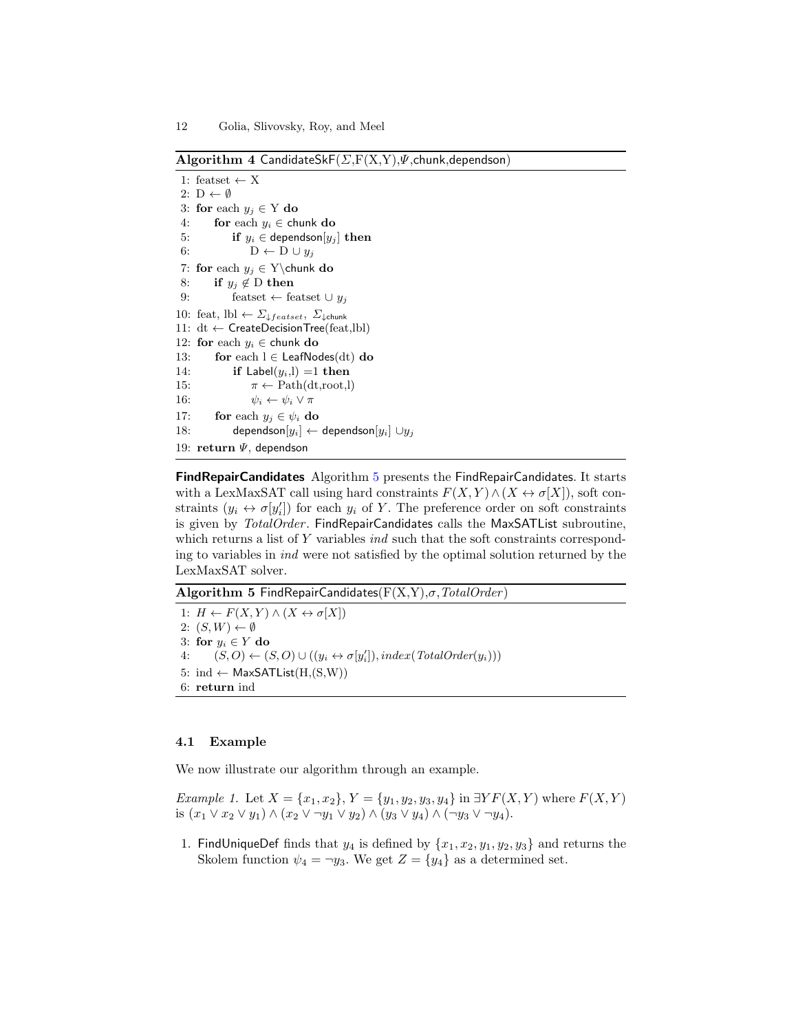<span id="page-11-0"></span>Algorithm 4 CandidateSkF( $\Sigma$ ,F(X,Y), $\Psi$ ,chunk,dependson)

```
1: featset \leftarrow X
 2: D \leftarrow \emptyset3: for each y_j \in Y do
 4: for each y_i \in chunk do
 5: if y_i \in dependson[y_j] then
 6: D \leftarrow D \cup y_j7: for each y_j \in Y\chunk do
 8: if y_j \notin D then
9: featset ← featset ∪ y_j10: feat, lbl \leftarrow \varSigma_{\downarrow{featset}}, \varSigma_{\downarrow{chunk}}11: dt ← CreateDecisionTree(feat,lbl)
12: for each y_i \in chunk do
13: for each l \in LeafNodes(dt) do
14: if Label(y_i, l) = 1 then
15: \pi \leftarrow \text{Path}(\text{dt}, \text{root}, l)16: \psi_i \leftarrow \psi_i \vee \pi17: for each y_i \in \psi_i do
18: dependson[y_i] \leftarrow dependson[y_i] \cup y_j19: return \Psi, dependson
```
FindRepairCandidates Algorithm [5](#page-11-1) presents the FindRepairCandidates. It starts with a LexMaxSAT call using hard constraints  $F(X, Y) \wedge (X \leftrightarrow \sigma[X])$ , soft constraints  $(y_i \leftrightarrow \sigma[y'_i])$  for each  $y_i$  of Y. The preference order on soft constraints is given by TotalOrder. FindRepairCandidates calls the MaxSATList subroutine, which returns a list of Y variables *ind* such that the soft constraints corresponding to variables in ind were not satisfied by the optimal solution returned by the LexMaxSAT solver.

<span id="page-11-1"></span>Algorithm 5 FindRepairCandidates( $F(X,Y)$ , $\sigma$ , TotalOrder)

1:  $H \leftarrow F(X, Y) \land (X \leftrightarrow \sigma[X])$ 2:  $(S, W) \leftarrow \emptyset$ 3: for  $y_i \in Y$  do 4:  $(S, O) \leftarrow (S, O) \cup ((y_i \leftrightarrow \sigma[y'_i]), index(TotalOrder(y_i)))$ 5: ind  $\leftarrow$  MaxSATList $(H,(S,W))$ 6: return ind

#### 4.1 Example

We now illustrate our algorithm through an example.

Example 1. Let  $X = \{x_1, x_2\}$ ,  $Y = \{y_1, y_2, y_3, y_4\}$  in  $\exists Y F(X, Y)$  where  $F(X, Y)$ is  $(x_1 \vee x_2 \vee y_1) \wedge (x_2 \vee \neg y_1 \vee y_2) \wedge (y_3 \vee y_4) \wedge (\neg y_3 \vee \neg y_4).$ 

1. FindUniqueDef finds that  $y_4$  is defined by  $\{x_1, x_2, y_1, y_2, y_3\}$  and returns the Skolem function  $\psi_4 = -y_3$ . We get  $Z = \{y_4\}$  as a determined set.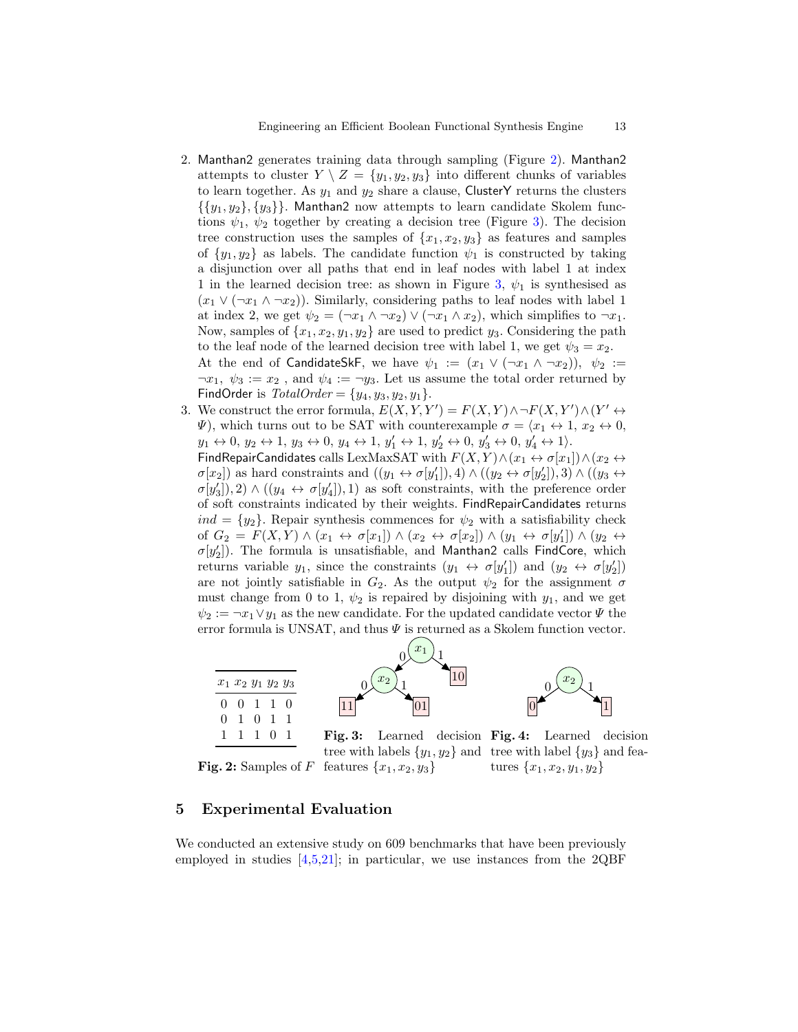- 2. Manthan2 generates training data through sampling (Figure [2\)](#page-12-1). Manthan2 attempts to cluster  $Y \setminus Z = \{y_1, y_2, y_3\}$  into different chunks of variables to learn together. As  $y_1$  and  $y_2$  share a clause, ClusterY returns the clusters  $\{\{y_1, y_2\}, \{y_3\}\}\.$  Manthan2 now attempts to learn candidate Skolem functions  $\psi_1$ ,  $\psi_2$  together by creating a decision tree (Figure [3\)](#page-12-2). The decision tree construction uses the samples of  $\{x_1, x_2, y_3\}$  as features and samples of  $\{y_1, y_2\}$  as labels. The candidate function  $\psi_1$  is constructed by taking a disjunction over all paths that end in leaf nodes with label 1 at index 1 in the learned decision tree: as shown in Figure [3,](#page-12-2)  $\psi_1$  is synthesised as  $(x_1 \vee (\neg x_1 \wedge \neg x_2))$ . Similarly, considering paths to leaf nodes with label 1 at index 2, we get  $\psi_2 = (\neg x_1 \land \neg x_2) \lor (\neg x_1 \land x_2)$ , which simplifies to  $\neg x_1$ . Now, samples of  $\{x_1, x_2, y_1, y_2\}$  are used to predict  $y_3$ . Considering the path to the leaf node of the learned decision tree with label 1, we get  $\psi_3 = x_2$ . At the end of CandidateSkF, we have  $\psi_1 := (x_1 \vee (\neg x_1 \wedge \neg x_2)), \psi_2 :=$  $\neg x_1, \psi_3 := x_2$ , and  $\psi_4 := \neg y_3$ . Let us assume the total order returned by FindOrder is  $TotalOrder = \{y_4, y_3, y_2, y_1\}.$
- 3. We construct the error formula,  $E(X, Y, Y') = F(X, Y) \wedge \neg F(X, Y') \wedge (Y' \leftrightarrow Y')$  $\Psi$ ), which turns out to be SAT with counterexample  $\sigma = \langle x_1 \leftrightarrow 1, x_2 \leftrightarrow 0,$  $y_1 \leftrightarrow 0, y_2 \leftrightarrow 1, y_3 \leftrightarrow 0, y_4 \leftrightarrow 1, y'_1 \leftrightarrow 1, y'_2 \leftrightarrow 0, y'_3 \leftrightarrow 0, y'_4 \leftrightarrow 1$ .

FindRepairCandidates calls LexMaxSAT with  $F(X, Y) \wedge (x_1 \leftrightarrow \sigma[x_1]) \wedge (x_2 \leftrightarrow$  $\sigma[x_2]$ ) as hard constraints and  $((y_1 \leftrightarrow \sigma[y'_1]), 4) \land ((y_2 \leftrightarrow \sigma[y'_2]), 3) \land ((y_3 \leftrightarrow \sigma[y'_3]))$  $\sigma[y'_3], 2) \wedge ((y_4 \leftrightarrow \sigma[y'_4]), 1)$  as soft constraints, with the preference order of soft constraints indicated by their weights. FindRepairCandidates returns  $ind = \{y_2\}$ . Repair synthesis commences for  $\psi_2$  with a satisfiability check of  $G_2 = F(X,Y) \wedge (x_1 \leftrightarrow \sigma[x_1]) \wedge (x_2 \leftrightarrow \sigma[x_2]) \wedge (y_1 \leftrightarrow \sigma[y'_1]) \wedge (y_2 \leftrightarrow \sigma[y'_2])$  $\sigma[y'_2]$ ). The formula is unsatisfiable, and Manthan2 calls FindCore, which returns variable  $y_1$ , since the constraints  $(y_1 \leftrightarrow \sigma[y'_1])$  and  $(y_2 \leftrightarrow \sigma[y'_2])$ are not jointly satisfiable in  $G_2$ . As the output  $\psi_2$  for the assignment  $\sigma$ must change from 0 to 1,  $\psi_2$  is repaired by disjoining with  $y_1$ , and we get  $\psi_2 := \neg x_1 \vee y_1$  as the new candidate. For the updated candidate vector  $\Psi$  the error formula is UNSAT, and thus  $\Psi$  is returned as a Skolem function vector.



<span id="page-12-1"></span>**Fig. 2:** Samples of F features  $\{x_1, x_2, y_3\}$ 

<span id="page-12-2"></span>Fig. 3: Learned decision Fig. 4: Learned decision tree with labels  $\{y_1, y_2\}$  and tree with label  $\{y_3\}$  and features  $\{x_1, x_2, y_1, y_2\}$ 

# <span id="page-12-0"></span>5 Experimental Evaluation

We conducted an extensive study on 609 benchmarks that have been previously employed in studies  $[4,5,21]$  $[4,5,21]$  $[4,5,21]$ ; in particular, we use instances from the 2QBF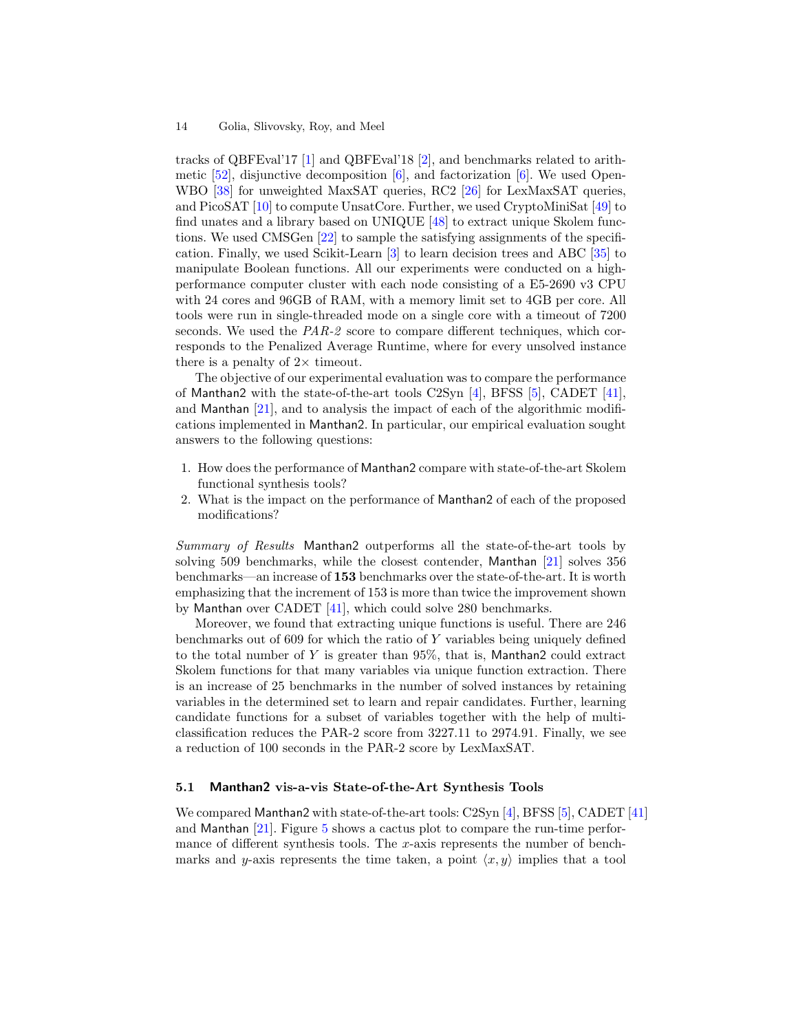tracks of QBFEval'17 [\[1\]](#page-20-11) and QBFEval'18 [\[2\]](#page-20-12), and benchmarks related to arithmetic  $[52]$ , disjunctive decomposition  $[6]$ , and factorization  $[6]$ . We used Open-WBO [\[38\]](#page-21-19) for unweighted MaxSAT queries, RC2 [\[26\]](#page-21-17) for LexMaxSAT queries, and PicoSAT [\[10\]](#page-20-13) to compute UnsatCore. Further, we used CryptoMiniSat [\[49\]](#page-21-20) to find unates and a library based on UNIQUE [\[48\]](#page-21-15) to extract unique Skolem functions. We used CMSGen [\[22\]](#page-20-14) to sample the satisfying assignments of the specification. Finally, we used Scikit-Learn [\[3\]](#page-20-15) to learn decision trees and ABC [\[35\]](#page-21-21) to manipulate Boolean functions. All our experiments were conducted on a highperformance computer cluster with each node consisting of a E5-2690 v3 CPU with 24 cores and 96GB of RAM, with a memory limit set to 4GB per core. All tools were run in single-threaded mode on a single core with a timeout of 7200 seconds. We used the  $PAR-2$  score to compare different techniques, which corresponds to the Penalized Average Runtime, where for every unsolved instance there is a penalty of  $2 \times$  timeout.

The objective of our experimental evaluation was to compare the performance of Manthan2 with the state-of-the-art tools C2Syn [\[4\]](#page-20-7), BFSS [\[5\]](#page-20-6), CADET [\[41\]](#page-21-7), and Manthan  $[21]$ , and to analysis the impact of each of the algorithmic modifications implemented in Manthan2. In particular, our empirical evaluation sought answers to the following questions:

- 1. How does the performance of Manthan2 compare with state-of-the-art Skolem functional synthesis tools?
- 2. What is the impact on the performance of Manthan2 of each of the proposed modifications?

Summary of Results Manthan2 outperforms all the state-of-the-art tools by solving 509 benchmarks, while the closest contender, Manthan [\[21\]](#page-20-8) solves 356 benchmarks—an increase of 153 benchmarks over the state-of-the-art. It is worth emphasizing that the increment of 153 is more than twice the improvement shown by Manthan over CADET [\[41\]](#page-21-7), which could solve 280 benchmarks.

Moreover, we found that extracting unique functions is useful. There are 246 benchmarks out of 609 for which the ratio of Y variables being uniquely defined to the total number of Y is greater than 95%, that is, Manthan2 could extract Skolem functions for that many variables via unique function extraction. There is an increase of 25 benchmarks in the number of solved instances by retaining variables in the determined set to learn and repair candidates. Further, learning candidate functions for a subset of variables together with the help of multiclassification reduces the PAR-2 score from 3227.11 to 2974.91. Finally, we see a reduction of 100 seconds in the PAR-2 score by LexMaxSAT.

## <span id="page-13-0"></span>5.1 Manthan2 vis-a-vis State-of-the-Art Synthesis Tools

We compared Manthan2 with state-of-the-art tools: C2Syn [\[4\]](#page-20-7), BFSS [\[5\]](#page-20-6), CADET [\[41\]](#page-21-7) and Manthan [\[21\]](#page-20-8). Figure [5](#page-14-0) shows a cactus plot to compare the run-time performance of different synthesis tools. The x-axis represents the number of benchmarks and y-axis represents the time taken, a point  $\langle x, y \rangle$  implies that a tool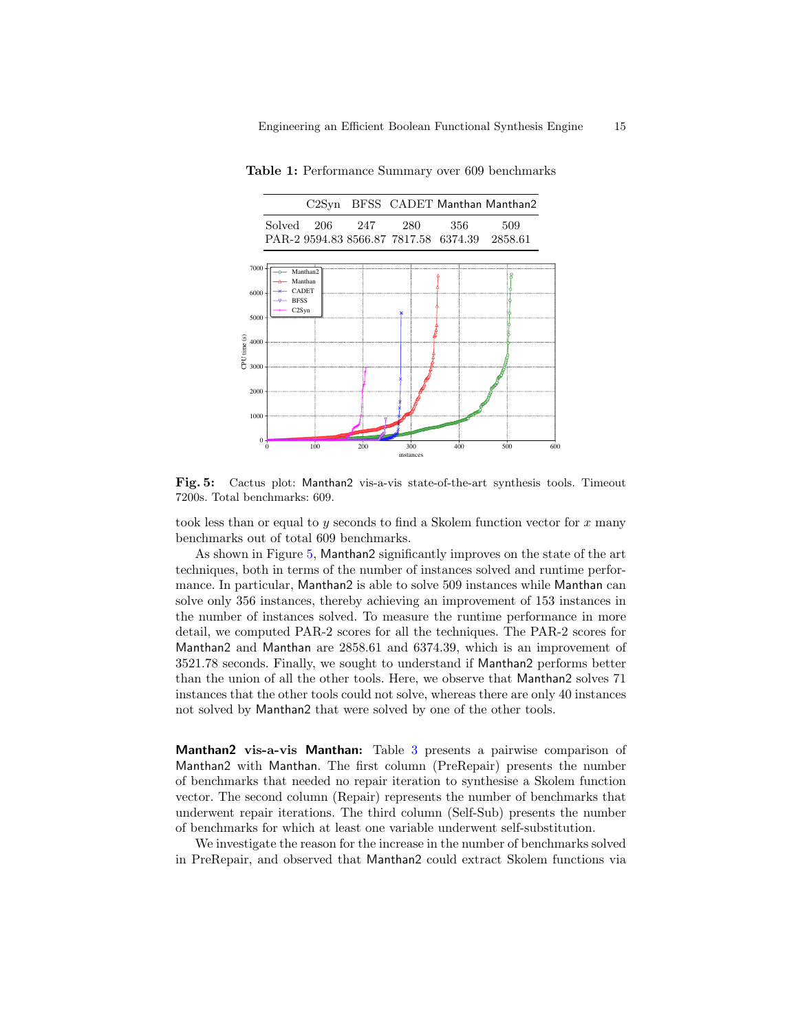Table 1: Performance Summary over 609 benchmarks

<span id="page-14-0"></span>

Fig. 5: Cactus plot: Manthan2 vis-a-vis state-of-the-art synthesis tools. Timeout 7200s. Total benchmarks: 609.

took less than or equal to  $y$  seconds to find a Skolem function vector for  $x$  many benchmarks out of total 609 benchmarks.

As shown in Figure [5,](#page-14-0) Manthan2 significantly improves on the state of the art techniques, both in terms of the number of instances solved and runtime performance. In particular, Manthan2 is able to solve 509 instances while Manthan can solve only 356 instances, thereby achieving an improvement of 153 instances in the number of instances solved. To measure the runtime performance in more detail, we computed PAR-2 scores for all the techniques. The PAR-2 scores for Manthan2 and Manthan are 2858.61 and 6374.39, which is an improvement of 3521.78 seconds. Finally, we sought to understand if Manthan2 performs better than the union of all the other tools. Here, we observe that Manthan2 solves 71 instances that the other tools could not solve, whereas there are only 40 instances not solved by Manthan2 that were solved by one of the other tools.

Manthan2 vis-a-vis Manthan: Table [3](#page-15-0) presents a pairwise comparison of Manthan2 with Manthan. The first column (PreRepair) presents the number of benchmarks that needed no repair iteration to synthesise a Skolem function vector. The second column (Repair) represents the number of benchmarks that underwent repair iterations. The third column (Self-Sub) presents the number of benchmarks for which at least one variable underwent self-substitution.

We investigate the reason for the increase in the number of benchmarks solved in PreRepair, and observed that Manthan2 could extract Skolem functions via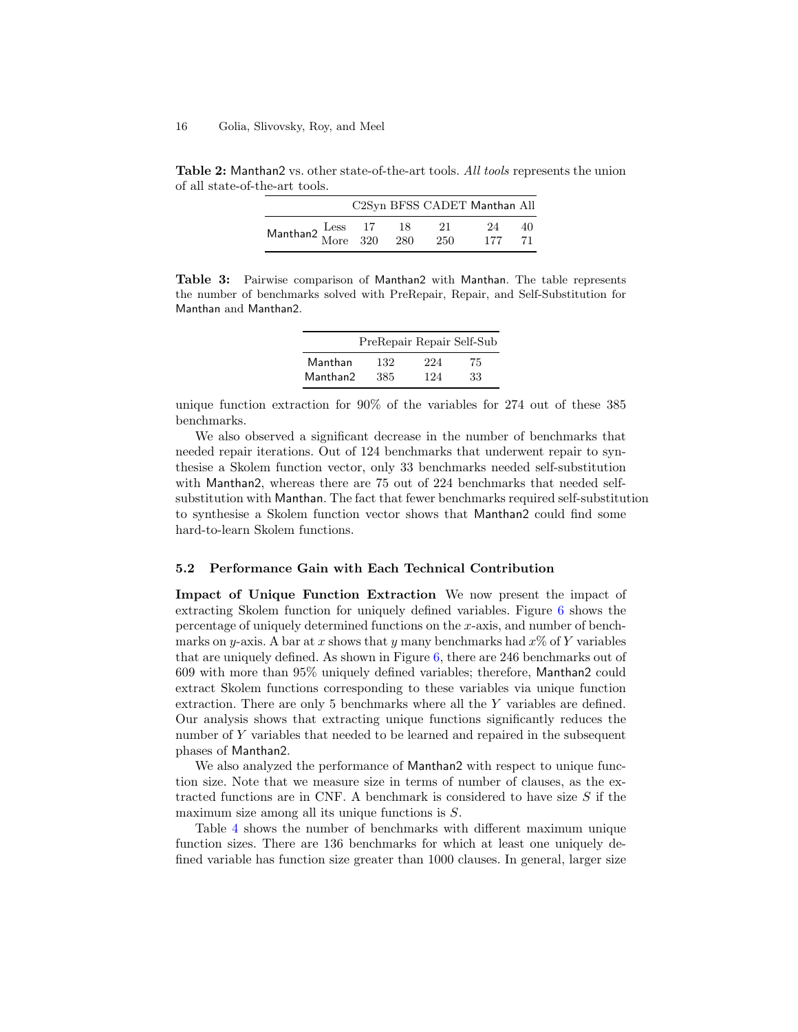Table 2: Manthan2 vs. other state-of-the-art tools. All tools represents the union of all state-of-the-art tools.

|                                                |             |             | C2Syn BFSS CADET Manthan All |          |
|------------------------------------------------|-------------|-------------|------------------------------|----------|
| Manthan2 $\frac{\text{Less}}{\text{More}}$ 320 | - 18<br>280 | -21<br>-250 | 24<br>177                    | 40<br>71 |

<span id="page-15-0"></span>Table 3: Pairwise comparison of Manthan2 with Manthan. The table represents the number of benchmarks solved with PreRepair, Repair, and Self-Substitution for Manthan and Manthan2.

|          | PreRepair Repair Self-Sub |     |    |
|----------|---------------------------|-----|----|
| Manthan  | 132                       | 224 | 75 |
| Manthan2 | 385                       | 124 | 33 |

unique function extraction for 90% of the variables for 274 out of these 385 benchmarks.

We also observed a significant decrease in the number of benchmarks that needed repair iterations. Out of 124 benchmarks that underwent repair to synthesise a Skolem function vector, only 33 benchmarks needed self-substitution with Manthan2, whereas there are 75 out of 224 benchmarks that needed selfsubstitution with Manthan. The fact that fewer benchmarks required self-substitution to synthesise a Skolem function vector shows that Manthan2 could find some hard-to-learn Skolem functions.

## 5.2 Performance Gain with Each Technical Contribution

Impact of Unique Function Extraction We now present the impact of extracting Skolem function for uniquely defined variables. Figure [6](#page-16-0) shows the percentage of uniquely determined functions on the x-axis, and number of benchmarks on y-axis. A bar at x shows that y many benchmarks had  $x\%$  of Y variables that are uniquely defined. As shown in Figure [6,](#page-16-0) there are 246 benchmarks out of 609 with more than 95% uniquely defined variables; therefore, Manthan2 could extract Skolem functions corresponding to these variables via unique function extraction. There are only 5 benchmarks where all the Y variables are defined. Our analysis shows that extracting unique functions significantly reduces the number of Y variables that needed to be learned and repaired in the subsequent phases of Manthan2.

We also analyzed the performance of Manthan2 with respect to unique function size. Note that we measure size in terms of number of clauses, as the extracted functions are in CNF. A benchmark is considered to have size  $S$  if the maximum size among all its unique functions is S.

Table [4](#page-16-1) shows the number of benchmarks with different maximum unique function sizes. There are 136 benchmarks for which at least one uniquely defined variable has function size greater than 1000 clauses. In general, larger size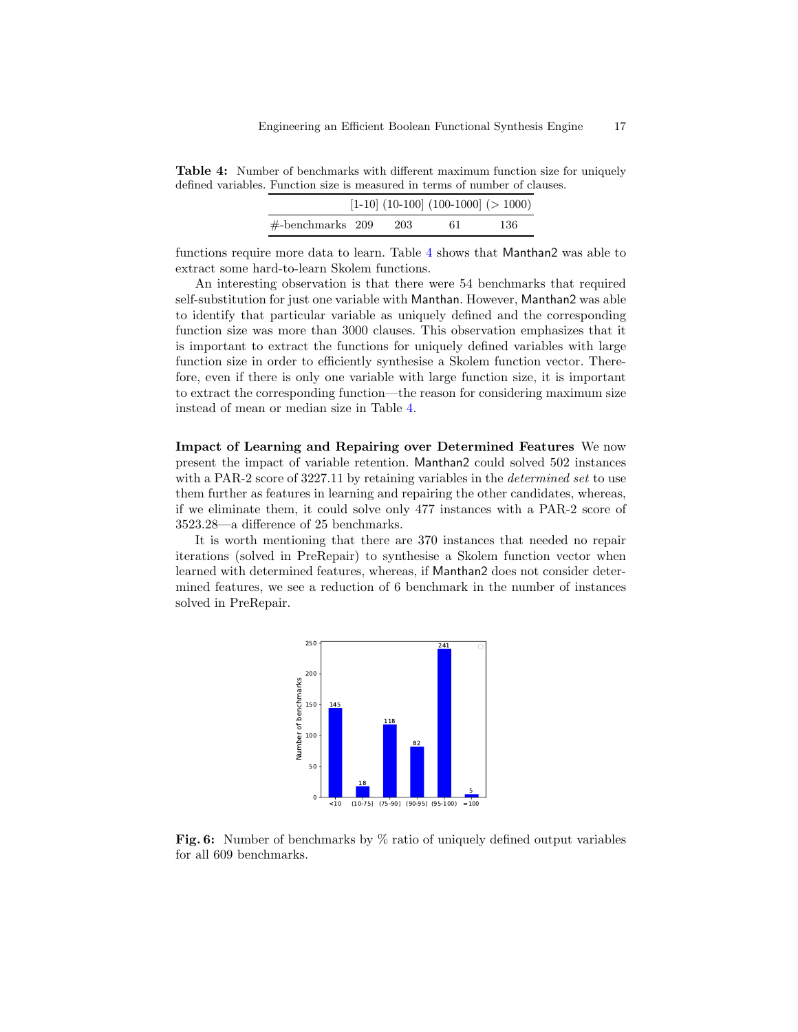<span id="page-16-1"></span>Table 4: Number of benchmarks with different maximum function size for uniquely defined variables. Function size is measured in terms of number of clauses.

|                      |     | $[1-10]$ (10-100] (100-1000] (> 1000) |      |
|----------------------|-----|---------------------------------------|------|
| $\#$ -benchmarks 209 | 203 | 61                                    | -136 |

functions require more data to learn. Table [4](#page-16-1) shows that Manthan2 was able to extract some hard-to-learn Skolem functions.

An interesting observation is that there were 54 benchmarks that required self-substitution for just one variable with Manthan. However, Manthan2 was able to identify that particular variable as uniquely defined and the corresponding function size was more than 3000 clauses. This observation emphasizes that it is important to extract the functions for uniquely defined variables with large function size in order to efficiently synthesise a Skolem function vector. Therefore, even if there is only one variable with large function size, it is important to extract the corresponding function—the reason for considering maximum size instead of mean or median size in Table [4.](#page-16-1)

Impact of Learning and Repairing over Determined Features We now present the impact of variable retention. Manthan2 could solved 502 instances with a PAR-2 score of 3227.11 by retaining variables in the *determined set* to use them further as features in learning and repairing the other candidates, whereas, if we eliminate them, it could solve only 477 instances with a PAR-2 score of 3523.28—a difference of 25 benchmarks.

<span id="page-16-0"></span>It is worth mentioning that there are 370 instances that needed no repair iterations (solved in PreRepair) to synthesise a Skolem function vector when learned with determined features, whereas, if Manthan2 does not consider determined features, we see a reduction of 6 benchmark in the number of instances solved in PreRepair.



Fig. 6: Number of benchmarks by  $\%$  ratio of uniquely defined output variables for all 609 benchmarks.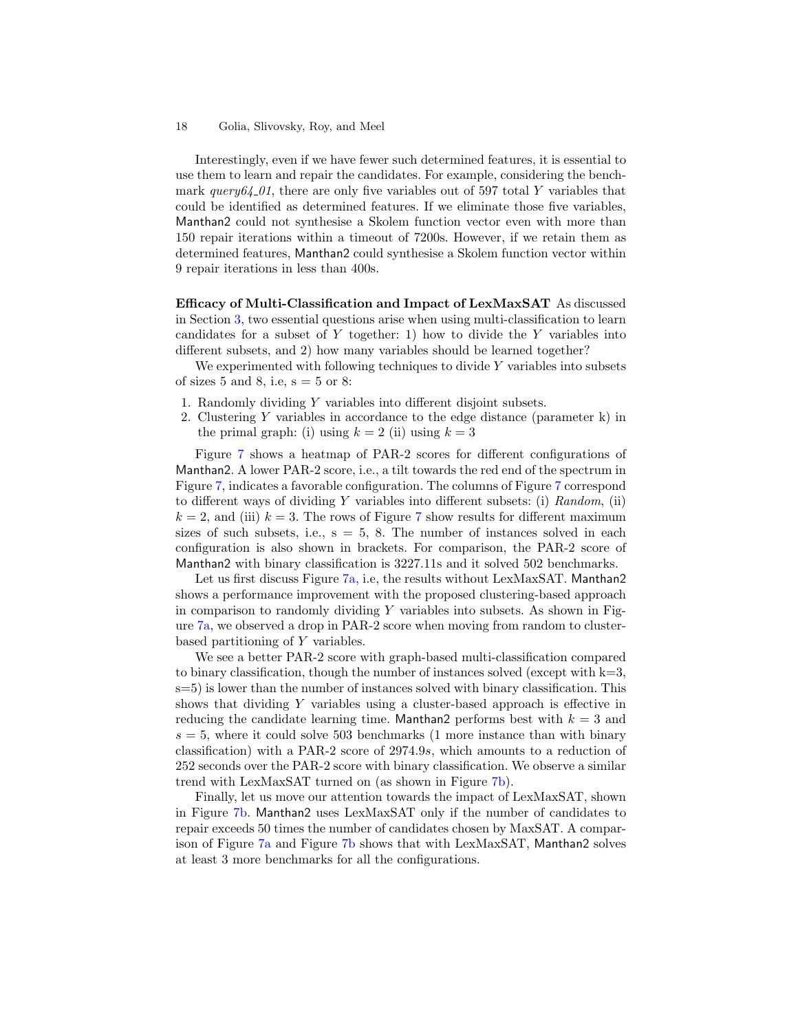#### 18 Golia, Slivovsky, Roy, and Meel

Interestingly, even if we have fewer such determined features, it is essential to use them to learn and repair the candidates. For example, considering the benchmark  $query64_01$ , there are only five variables out of 597 total Y variables that could be identified as determined features. If we eliminate those five variables, Manthan2 could not synthesise a Skolem function vector even with more than 150 repair iterations within a timeout of 7200s. However, if we retain them as determined features, Manthan2 could synthesise a Skolem function vector within 9 repair iterations in less than 400s.

Efficacy of Multi-Classification and Impact of LexMaxSAT As discussed in Section [3,](#page-4-0) two essential questions arise when using multi-classification to learn candidates for a subset of  $Y$  together: 1) how to divide the  $Y$  variables into different subsets, and 2) how many variables should be learned together?

We experimented with following techniques to divide  $Y$  variables into subsets of sizes 5 and 8, i.e,  $s = 5$  or 8:

- 1. Randomly dividing Y variables into different disjoint subsets.
- 2. Clustering Y variables in accordance to the edge distance (parameter k) in the primal graph: (i) using  $k = 2$  (ii) using  $k = 3$

Figure [7](#page-18-1) shows a heatmap of PAR-2 scores for different configurations of Manthan2. A lower PAR-2 score, i.e., a tilt towards the red end of the spectrum in Figure [7,](#page-18-1) indicates a favorable configuration. The columns of Figure [7](#page-18-1) correspond to different ways of dividing Y variables into different subsets: (i)  $Random$ , (ii)  $k = 2$ , and (iii)  $k = 3$ . The rows of Figure [7](#page-18-1) show results for different maximum sizes of such subsets, i.e.,  $s = 5$ , 8. The number of instances solved in each configuration is also shown in brackets. For comparison, the PAR-2 score of Manthan2 with binary classification is 3227.11s and it solved 502 benchmarks.

Let us first discuss Figure [7a,](#page-18-1) i.e, the results without LexMaxSAT. Manthan2 shows a performance improvement with the proposed clustering-based approach in comparison to randomly dividing  $Y$  variables into subsets. As shown in Figure [7a,](#page-18-1) we observed a drop in PAR-2 score when moving from random to clusterbased partitioning of Y variables.

We see a better PAR-2 score with graph-based multi-classification compared to binary classification, though the number of instances solved (except with  $k=3$ ,  $s=5$ ) is lower than the number of instances solved with binary classification. This shows that dividing Y variables using a cluster-based approach is effective in reducing the candidate learning time. Manthan2 performs best with  $k = 3$  and  $s = 5$ , where it could solve 503 benchmarks (1 more instance than with binary classification) with a PAR-2 score of 2974.9s, which amounts to a reduction of 252 seconds over the PAR-2 score with binary classification. We observe a similar trend with LexMaxSAT turned on (as shown in Figure [7b\)](#page-18-1).

Finally, let us move our attention towards the impact of LexMaxSAT, shown in Figure [7b.](#page-18-1) Manthan2 uses LexMaxSAT only if the number of candidates to repair exceeds 50 times the number of candidates chosen by MaxSAT. A comparison of Figure [7a](#page-18-1) and Figure [7b](#page-18-1) shows that with LexMaxSAT, Manthan2 solves at least 3 more benchmarks for all the configurations.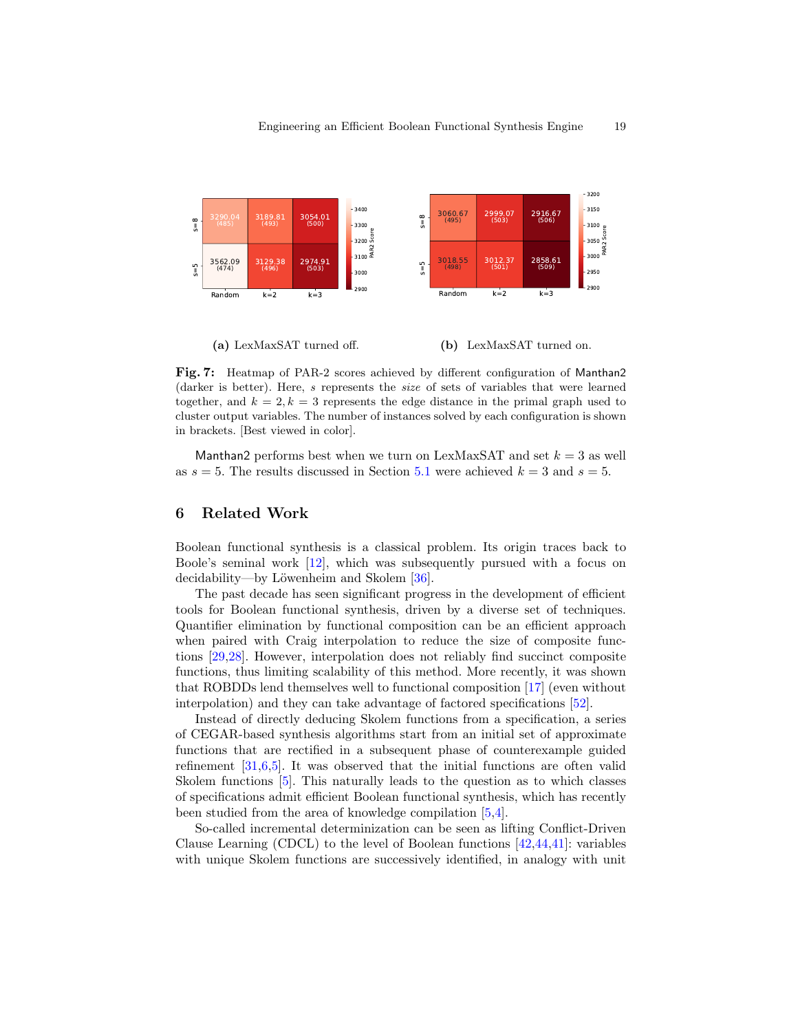<span id="page-18-1"></span>

(a) LexMaxSAT turned off. (b) LexMaxSAT turned on.

Fig. 7: Heatmap of PAR-2 scores achieved by different configuration of Manthan2 (darker is better). Here, s represents the size of sets of variables that were learned together, and  $k = 2, k = 3$  represents the edge distance in the primal graph used to cluster output variables. The number of instances solved by each configuration is shown in brackets. [Best viewed in color].

Manthan2 performs best when we turn on LexMaxSAT and set  $k = 3$  as well as  $s = 5$ . The results discussed in Section [5.1](#page-13-0) were achieved  $k = 3$  and  $s = 5$ .

# <span id="page-18-0"></span>6 Related Work

Boolean functional synthesis is a classical problem. Its origin traces back to Boole's seminal work [\[12\]](#page-20-0), which was subsequently pursued with a focus on decidability—by Löwenheim and Skolem  $[36]$ .

The past decade has seen significant progress in the development of efficient tools for Boolean functional synthesis, driven by a diverse set of techniques. Quantifier elimination by functional composition can be an efficient approach when paired with Craig interpolation to reduce the size of composite functions [\[29](#page-21-4)[,28\]](#page-21-10). However, interpolation does not reliably find succinct composite functions, thus limiting scalability of this method. More recently, it was shown that ROBDDs lend themselves well to functional composition [\[17\]](#page-20-4) (even without interpolation) and they can take advantage of factored specifications [\[52\]](#page-21-11).

Instead of directly deducing Skolem functions from a specification, a series of CEGAR-based synthesis algorithms start from an initial set of approximate functions that are rectified in a subsequent phase of counterexample guided refinement [\[31,](#page-21-12)[6,](#page-20-5)[5\]](#page-20-6). It was observed that the initial functions are often valid Skolem functions [\[5\]](#page-20-6). This naturally leads to the question as to which classes of specifications admit efficient Boolean functional synthesis, which has recently been studied from the area of knowledge compilation [\[5,](#page-20-6)[4\]](#page-20-7).

So-called incremental determinization can be seen as lifting Conflict-Driven Clause Learning (CDCL) to the level of Boolean functions [\[42,](#page-21-8)[44,](#page-21-9)[41\]](#page-21-7): variables with unique Skolem functions are successively identified, in analogy with unit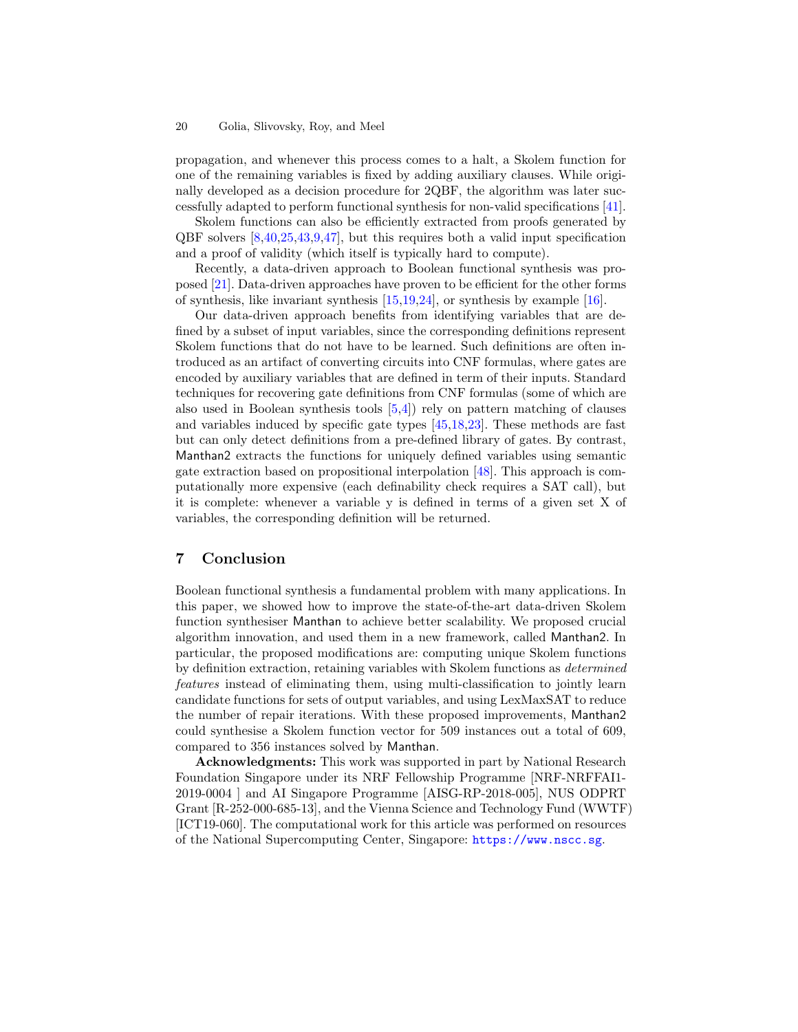#### 20 Golia, Slivovsky, Roy, and Meel

propagation, and whenever this process comes to a halt, a Skolem function for one of the remaining variables is fixed by adding auxiliary clauses. While originally developed as a decision procedure for 2QBF, the algorithm was later successfully adapted to perform functional synthesis for non-valid specifications [\[41\]](#page-21-7).

Skolem functions can also be efficiently extracted from proofs generated by QBF solvers [\[8,](#page-20-16)[40,](#page-21-23)[25](#page-20-17)[,43,](#page-21-24)[9,](#page-20-18)[47\]](#page-21-25), but this requires both a valid input specification and a proof of validity (which itself is typically hard to compute).

Recently, a data-driven approach to Boolean functional synthesis was proposed [\[21\]](#page-20-8). Data-driven approaches have proven to be efficient for the other forms of synthesis, like invariant synthesis  $[15,19,24]$  $[15,19,24]$  $[15,19,24]$ , or synthesis by example  $[16]$ .

Our data-driven approach benefits from identifying variables that are defined by a subset of input variables, since the corresponding definitions represent Skolem functions that do not have to be learned. Such definitions are often introduced as an artifact of converting circuits into CNF formulas, where gates are encoded by auxiliary variables that are defined in term of their inputs. Standard techniques for recovering gate definitions from CNF formulas (some of which are also used in Boolean synthesis tools [\[5](#page-20-6)[,4\]](#page-20-7)) rely on pattern matching of clauses and variables induced by specific gate types [\[45,](#page-21-26)[18](#page-20-23)[,23\]](#page-20-24). These methods are fast but can only detect definitions from a pre-defined library of gates. By contrast, Manthan2 extracts the functions for uniquely defined variables using semantic gate extraction based on propositional interpolation [\[48\]](#page-21-15). This approach is computationally more expensive (each definability check requires a SAT call), but it is complete: whenever a variable y is defined in terms of a given set X of variables, the corresponding definition will be returned.

# <span id="page-19-0"></span>7 Conclusion

Boolean functional synthesis a fundamental problem with many applications. In this paper, we showed how to improve the state-of-the-art data-driven Skolem function synthesiser Manthan to achieve better scalability. We proposed crucial algorithm innovation, and used them in a new framework, called Manthan2. In particular, the proposed modifications are: computing unique Skolem functions by definition extraction, retaining variables with Skolem functions as determined features instead of eliminating them, using multi-classification to jointly learn candidate functions for sets of output variables, and using LexMaxSAT to reduce the number of repair iterations. With these proposed improvements, Manthan2 could synthesise a Skolem function vector for 509 instances out a total of 609, compared to 356 instances solved by Manthan.

Acknowledgments: This work was supported in part by National Research Foundation Singapore under its NRF Fellowship Programme [NRF-NRFFAI1- 2019-0004 ] and AI Singapore Programme [AISG-RP-2018-005], NUS ODPRT Grant [R-252-000-685-13], and the Vienna Science and Technology Fund (WWTF) [ICT19-060]. The computational work for this article was performed on resources of the National Supercomputing Center, Singapore: <https://www.nscc.sg>.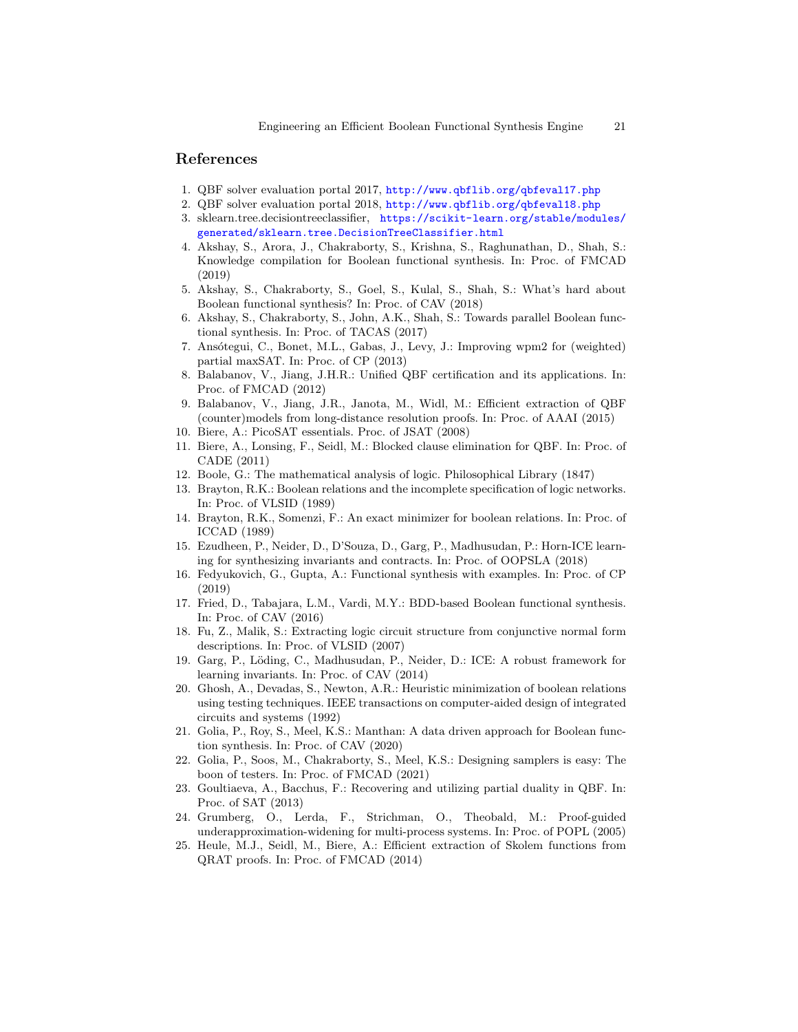# References

- <span id="page-20-11"></span>1. QBF solver evaluation portal 2017, <http://www.qbflib.org/qbfeval17.php>
- <span id="page-20-12"></span>2. QBF solver evaluation portal 2018, <http://www.qbflib.org/qbfeval18.php>
- <span id="page-20-15"></span>3. sklearn.tree.decisiontreeclassifier, [https://scikit-learn.org/stable/modules/](https://scikit-learn.org/stable/modules/generated/sklearn.tree.DecisionTreeClassifier.html) [generated/sklearn.tree.DecisionTreeClassifier.html](https://scikit-learn.org/stable/modules/generated/sklearn.tree.DecisionTreeClassifier.html)
- <span id="page-20-7"></span>4. Akshay, S., Arora, J., Chakraborty, S., Krishna, S., Raghunathan, D., Shah, S.: Knowledge compilation for Boolean functional synthesis. In: Proc. of FMCAD (2019)
- <span id="page-20-6"></span>5. Akshay, S., Chakraborty, S., Goel, S., Kulal, S., Shah, S.: What's hard about Boolean functional synthesis? In: Proc. of CAV (2018)
- <span id="page-20-5"></span>6. Akshay, S., Chakraborty, S., John, A.K., Shah, S.: Towards parallel Boolean functional synthesis. In: Proc. of TACAS (2017)
- <span id="page-20-10"></span>7. Ansótegui, C., Bonet, M.L., Gabas, J., Levy, J.: Improving wpm2 for (weighted) partial maxSAT. In: Proc. of CP (2013)
- <span id="page-20-16"></span>8. Balabanov, V., Jiang, J.H.R.: Unified QBF certification and its applications. In: Proc. of FMCAD (2012)
- <span id="page-20-18"></span>9. Balabanov, V., Jiang, J.R., Janota, M., Widl, M.: Efficient extraction of QBF (counter)models from long-distance resolution proofs. In: Proc. of AAAI (2015)
- <span id="page-20-13"></span>10. Biere, A.: PicoSAT essentials. Proc. of JSAT (2008)
- <span id="page-20-9"></span>11. Biere, A., Lonsing, F., Seidl, M.: Blocked clause elimination for QBF. In: Proc. of CADE (2011)
- <span id="page-20-0"></span>12. Boole, G.: The mathematical analysis of logic. Philosophical Library (1847)
- <span id="page-20-1"></span>13. Brayton, R.K.: Boolean relations and the incomplete specification of logic networks. In: Proc. of VLSID (1989)
- <span id="page-20-2"></span>14. Brayton, R.K., Somenzi, F.: An exact minimizer for boolean relations. In: Proc. of ICCAD (1989)
- <span id="page-20-19"></span>15. Ezudheen, P., Neider, D., D'Souza, D., Garg, P., Madhusudan, P.: Horn-ICE learning for synthesizing invariants and contracts. In: Proc. of OOPSLA (2018)
- <span id="page-20-22"></span>16. Fedyukovich, G., Gupta, A.: Functional synthesis with examples. In: Proc. of CP (2019)
- <span id="page-20-4"></span>17. Fried, D., Tabajara, L.M., Vardi, M.Y.: BDD-based Boolean functional synthesis. In: Proc. of CAV (2016)
- <span id="page-20-23"></span>18. Fu, Z., Malik, S.: Extracting logic circuit structure from conjunctive normal form descriptions. In: Proc. of VLSID (2007)
- <span id="page-20-20"></span>19. Garg, P., Löding, C., Madhusudan, P., Neider, D.: ICE: A robust framework for learning invariants. In: Proc. of CAV (2014)
- <span id="page-20-3"></span>20. Ghosh, A., Devadas, S., Newton, A.R.: Heuristic minimization of boolean relations using testing techniques. IEEE transactions on computer-aided design of integrated circuits and systems (1992)
- <span id="page-20-8"></span>21. Golia, P., Roy, S., Meel, K.S.: Manthan: A data driven approach for Boolean function synthesis. In: Proc. of CAV (2020)
- <span id="page-20-14"></span>22. Golia, P., Soos, M., Chakraborty, S., Meel, K.S.: Designing samplers is easy: The boon of testers. In: Proc. of FMCAD (2021)
- <span id="page-20-24"></span>23. Goultiaeva, A., Bacchus, F.: Recovering and utilizing partial duality in QBF. In: Proc. of SAT (2013)
- <span id="page-20-21"></span>24. Grumberg, O., Lerda, F., Strichman, O., Theobald, M.: Proof-guided underapproximation-widening for multi-process systems. In: Proc. of POPL (2005)
- <span id="page-20-17"></span>25. Heule, M.J., Seidl, M., Biere, A.: Efficient extraction of Skolem functions from QRAT proofs. In: Proc. of FMCAD (2014)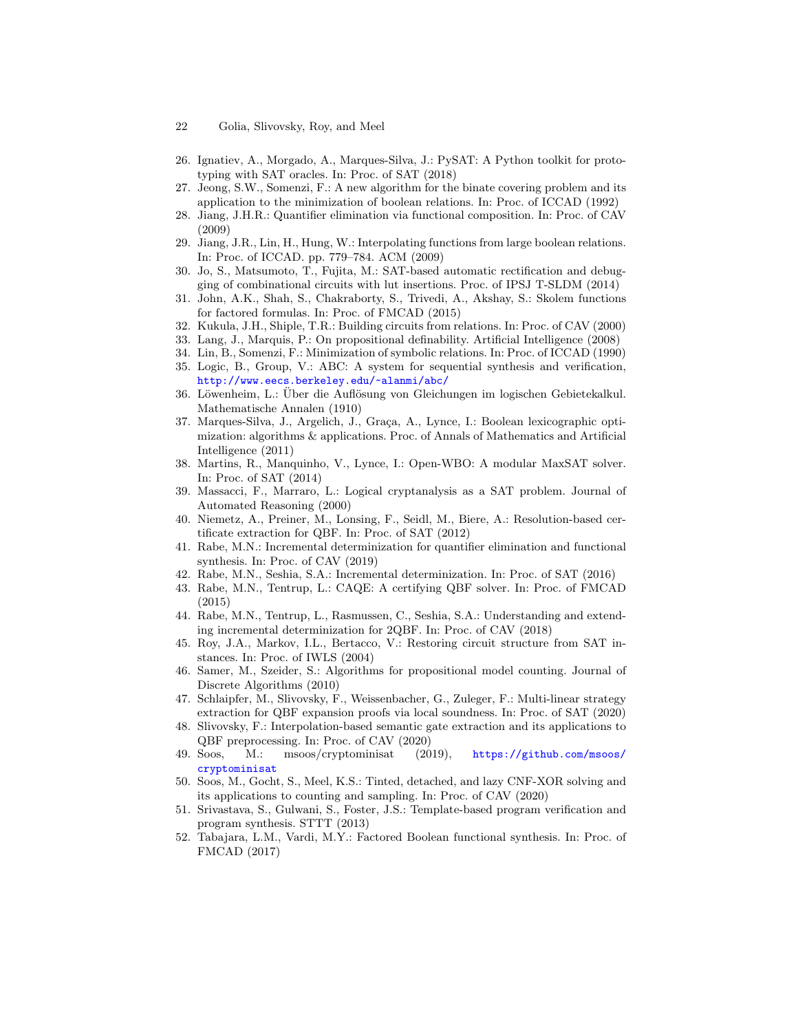- 22 Golia, Slivovsky, Roy, and Meel
- <span id="page-21-17"></span>26. Ignatiev, A., Morgado, A., Marques-Silva, J.: PySAT: A Python toolkit for prototyping with SAT oracles. In: Proc. of SAT (2018)
- <span id="page-21-5"></span>27. Jeong, S.W., Somenzi, F.: A new algorithm for the binate covering problem and its application to the minimization of boolean relations. In: Proc. of ICCAD (1992)
- <span id="page-21-10"></span>28. Jiang, J.H.R.: Quantifier elimination via functional composition. In: Proc. of CAV (2009)
- <span id="page-21-4"></span>29. Jiang, J.R., Lin, H., Hung, W.: Interpolating functions from large boolean relations. In: Proc. of ICCAD. pp. 779–784. ACM (2009)
- <span id="page-21-2"></span>30. Jo, S., Matsumoto, T., Fujita, M.: SAT-based automatic rectification and debugging of combinational circuits with lut insertions. Proc. of IPSJ T-SLDM (2014)
- <span id="page-21-12"></span>31. John, A.K., Shah, S., Chakraborty, S., Trivedi, A., Akshay, S.: Skolem functions for factored formulas. In: Proc. of FMCAD (2015)
- <span id="page-21-0"></span>32. Kukula, J.H., Shiple, T.R.: Building circuits from relations. In: Proc. of CAV (2000)
- <span id="page-21-14"></span>33. Lang, J., Marquis, P.: On propositional definability. Artificial Intelligence (2008)
- <span id="page-21-6"></span>34. Lin, B., Somenzi, F.: Minimization of symbolic relations. In: Proc. of ICCAD (1990)
- <span id="page-21-21"></span>35. Logic, B., Group, V.: ABC: A system for sequential synthesis and verification, <http://www.eecs.berkeley.edu/~alanmi/abc/>
- <span id="page-21-22"></span>36. Löwenheim, L.: Über die Auflösung von Gleichungen im logischen Gebietekalkul. Mathematische Annalen (1910)
- <span id="page-21-18"></span>37. Marques-Silva, J., Argelich, J., Graça, A., Lynce, I.: Boolean lexicographic optimization: algorithms & applications. Proc. of Annals of Mathematics and Artificial Intelligence (2011)
- <span id="page-21-19"></span>38. Martins, R., Manquinho, V., Lynce, I.: Open-WBO: A modular MaxSAT solver. In: Proc. of SAT (2014)
- <span id="page-21-3"></span>39. Massacci, F., Marraro, L.: Logical cryptanalysis as a SAT problem. Journal of Automated Reasoning (2000)
- <span id="page-21-23"></span>40. Niemetz, A., Preiner, M., Lonsing, F., Seidl, M., Biere, A.: Resolution-based certificate extraction for QBF. In: Proc. of SAT (2012)
- <span id="page-21-7"></span>41. Rabe, M.N.: Incremental determinization for quantifier elimination and functional synthesis. In: Proc. of CAV (2019)
- <span id="page-21-8"></span>42. Rabe, M.N., Seshia, S.A.: Incremental determinization. In: Proc. of SAT (2016)
- <span id="page-21-24"></span>43. Rabe, M.N., Tentrup, L.: CAQE: A certifying QBF solver. In: Proc. of FMCAD (2015)
- <span id="page-21-9"></span>44. Rabe, M.N., Tentrup, L., Rasmussen, C., Seshia, S.A.: Understanding and extending incremental determinization for 2QBF. In: Proc. of CAV (2018)
- <span id="page-21-26"></span>45. Roy, J.A., Markov, I.L., Bertacco, V.: Restoring circuit structure from SAT instances. In: Proc. of IWLS (2004)
- <span id="page-21-16"></span>46. Samer, M., Szeider, S.: Algorithms for propositional model counting. Journal of Discrete Algorithms (2010)
- <span id="page-21-25"></span>47. Schlaipfer, M., Slivovsky, F., Weissenbacher, G., Zuleger, F.: Multi-linear strategy extraction for QBF expansion proofs via local soundness. In: Proc. of SAT (2020)
- <span id="page-21-15"></span>48. Slivovsky, F.: Interpolation-based semantic gate extraction and its applications to QBF preprocessing. In: Proc. of CAV (2020)
- <span id="page-21-20"></span>49. Soos, M.: msoos/cryptominisat (2019), [https://github.com/msoos/](https://github.com/msoos/cryptominisat) [cryptominisat](https://github.com/msoos/cryptominisat)
- <span id="page-21-13"></span>50. Soos, M., Gocht, S., Meel, K.S.: Tinted, detached, and lazy CNF-XOR solving and its applications to counting and sampling. In: Proc. of CAV (2020)
- <span id="page-21-1"></span>51. Srivastava, S., Gulwani, S., Foster, J.S.: Template-based program verification and program synthesis. STTT (2013)
- <span id="page-21-11"></span>52. Tabajara, L.M., Vardi, M.Y.: Factored Boolean functional synthesis. In: Proc. of FMCAD (2017)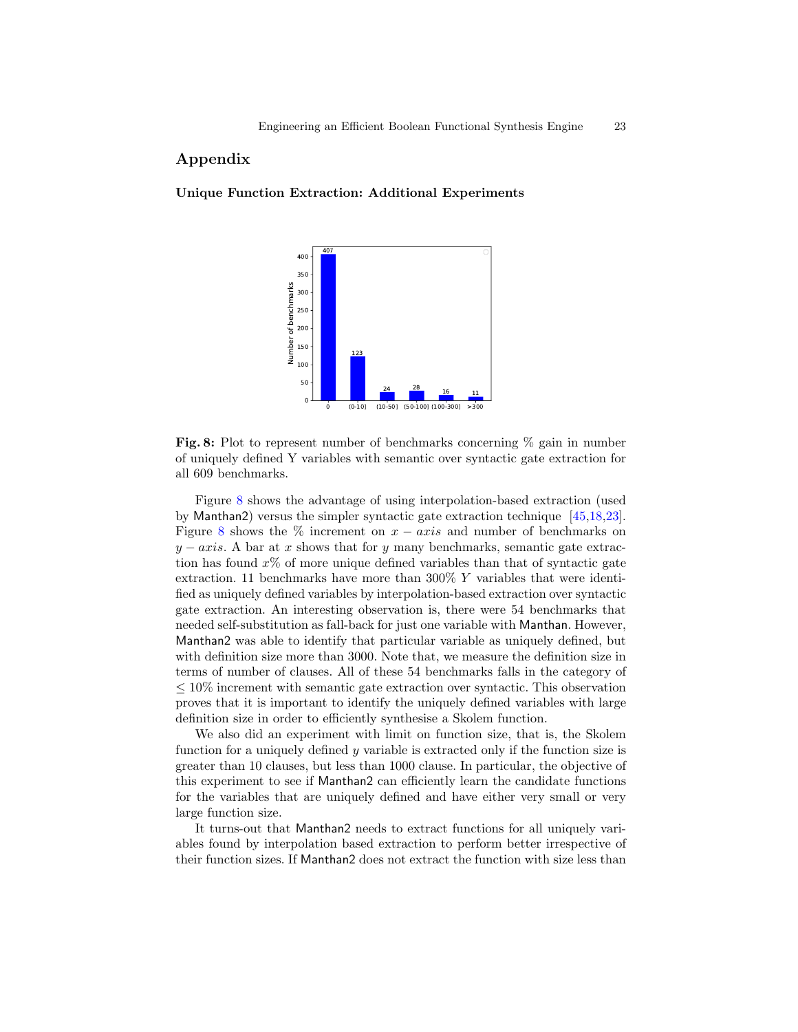# Appendix

## <span id="page-22-0"></span>Unique Function Extraction: Additional Experiments



**Fig. 8:** Plot to represent number of benchmarks concerning  $\%$  gain in number of uniquely defined Y variables with semantic over syntactic gate extraction for all 609 benchmarks.

Figure [8](#page-22-0) shows the advantage of using interpolation-based extraction (used by Manthan2) versus the simpler syntactic gate extraction technique [\[45,](#page-21-26)[18,](#page-20-23)[23\]](#page-20-24). Figure [8](#page-22-0) shows the % increment on  $x - axis$  and number of benchmarks on  $y - axis$ . A bar at x shows that for y many benchmarks, semantic gate extraction has found  $x\%$  of more unique defined variables than that of syntactic gate extraction. 11 benchmarks have more than 300%  $Y$  variables that were identified as uniquely defined variables by interpolation-based extraction over syntactic gate extraction. An interesting observation is, there were 54 benchmarks that needed self-substitution as fall-back for just one variable with Manthan. However, Manthan2 was able to identify that particular variable as uniquely defined, but with definition size more than 3000. Note that, we measure the definition size in terms of number of clauses. All of these 54 benchmarks falls in the category of  $\leq 10\%$  increment with semantic gate extraction over syntactic. This observation proves that it is important to identify the uniquely defined variables with large definition size in order to efficiently synthesise a Skolem function.

We also did an experiment with limit on function size, that is, the Skolem function for a uniquely defined  $y$  variable is extracted only if the function size is greater than 10 clauses, but less than 1000 clause. In particular, the objective of this experiment to see if Manthan2 can efficiently learn the candidate functions for the variables that are uniquely defined and have either very small or very large function size.

It turns-out that Manthan2 needs to extract functions for all uniquely variables found by interpolation based extraction to perform better irrespective of their function sizes. If Manthan2 does not extract the function with size less than